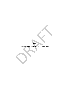**APPENDIX I** 

# **WATER SUPPLY AVAILABLE TO REGION C**  APPENDIX I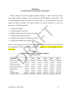## **APPENDIX I WATER SUPPLY AVAILABLE TO REGION C**

Table I-1 shows the overall water supply available to Region C. Table I-2 shows the overall water supply available to Region C that was reported in the 2006 Region C Water Plan<sup>(1)</sup>. The rest of the appendix explains the sources of the data in Table I-1. The table represents the water supply that might be available to the region, whether it is currently connected to a water user group or not. The table is based on:

- Existing water rights<sup>(2)</sup>
- Available supply for reservoirs
- Reliable supplies from run-of-the-river diversions
- Available supply from groundwater
- Estimated local supplies for mining and livestock
- Existing and permitted reuse supplies

Limits to water supply due to current water transmission facilities and wells are not considered in the development of Table I-1. They are considered in Appendix J, Current Supplies by Water User Group.

## **Table I-1 Overall Water Supply Availability in Region C (acre-feet per year)**

| up or not. The table is based on:                                                              |                                                      |                      |           |           |           |           |
|------------------------------------------------------------------------------------------------|------------------------------------------------------|----------------------|-----------|-----------|-----------|-----------|
| Existing water rights <sup><math>(2)</math></sup>                                              |                                                      |                      |           |           |           |           |
| Available supply for reservoirs                                                                |                                                      |                      |           |           |           |           |
| Reliable supplies from run-of-the-river diversions                                             |                                                      |                      |           |           |           |           |
| Available supply from groundwater                                                              |                                                      |                      |           |           |           |           |
| Estimated local supplies for mining and livestock                                              |                                                      |                      |           |           |           |           |
| Existing and permitted reuse supplies                                                          |                                                      |                      |           |           |           |           |
|                                                                                                |                                                      |                      |           |           |           |           |
| mits to water supply due to current water transmission facilities and wells are not considered |                                                      |                      |           |           |           |           |
| development of Table I-1. They are considered in Appendix J, Current Supplies by Wa            |                                                      |                      |           |           |           |           |
| <mark>er Group</mark> .                                                                        |                                                      |                      |           |           |           |           |
|                                                                                                |                                                      | <b>Table I-1</b>     |           |           |           |           |
|                                                                                                | <b>Overall Water Supply Availability in Region C</b> |                      |           |           |           |           |
|                                                                                                |                                                      | (acre-feet per year) |           |           |           |           |
| <b>SUMMARY</b>                                                                                 | 2010                                                 | 2020                 | 2030      | 2040      | 2050      | 2060      |
| Reservoirs in Region C                                                                         | 1,312,724                                            | 1,305,260            | 1,297,491 | 1,289,595 | 1,281,699 | 1,273,803 |
| Local Irrigation                                                                               | 20,205                                               | 20,205               | 20,205    | 20,205    | 20,205    | 20,205    |
| Other Local Supply                                                                             | 23,701                                               | 23,701               | 23,701    | 23,701    | 23,701    | 23,701    |
| <b>Surface Water Imports</b>                                                                   | 598,775                                              | 576,120              | 552,672   | 549,222   | 545,782   | 542,352   |
| Groundwater                                                                                    | 146,152                                              | 146,152              | 146,152   | 146,152   | 146,152   | 146,152   |
| Reuse                                                                                          | 181,046                                              | 214,636              | 245,656   | 260,265   | 260,422   | 261,011   |
| <b>REGION C TOTAL</b>                                                                          | 2,282,602                                            | 2,286,073            | 2,285,876 | 2,289,139 | 2,277,960 | 2,267,223 |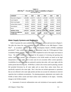| <b>SUMMARY</b>                        | 2010      | 2020      | 2030      | 2040      | 2050      | 2060      |
|---------------------------------------|-----------|-----------|-----------|-----------|-----------|-----------|
| Reservoirs in Region C                | 1,165,080 | 1,155,771 | 1,146,113 | 1,135,964 | 1,125,705 | 1,111,096 |
| Local Irrigation                      | 20,205    | 20,205    | 20,205    | 20,205    | 20,205    | 20,205    |
| Other Local Supply                    | 23,701    | 23,701    | 23,701    | 23,701    | 23,701    | 23,701    |
| Surface Water Imports                 | 564,302   | 560,292   | 555,492   | 550,689   | 545,898   | 541,117   |
| Groundwater                           | 106,460   | 106,460   | 106,460   | 106,460   | 106,460   | 106,460   |
| Reuse                                 | 99,979    | 105,810   | 104,800   | 104,175   | 103,697   | 103,429   |
| <b>REGION C TOTAL</b>                 | 1,979,727 | 1,972,240 | 1,956,770 | 1,941,194 | 1,925,666 | 1,906,007 |
| Change from 2006 Plan<br>to 2011 Plan | 302,875   | 313,834   | 329,106   | 347,945   | 352,294   | 361,216   |

**Table I-2 2006 Plan(1) – Overall Water Supply Availability in Region C (acre-feet per year)** 

## *Water Supply Systems and Reservoirs*

Table I-3 presents the water availability for water supply systems and reservoirs in Region C. The table also shows the water availability that was presented in the *2006 Region C Water Plan*<sup>(1)</sup>. In accordance with the Texas Water Development Board's (TWDB) established procedures<sup>(3)</sup>, these surface water supplies are determined using the TCEQ-approved Water Availability Models (WAM). WAMs have been completed for each of the major river basins in Texas. The WAM models were developed for the purpose of reviewing and granting new surface water rights permits. The assumptions in the WAM models are based on the legal interpretation of water rights, and in some cases do not accurately reflect current operations. Availabilities for each water right are analyzed in priority date order, with water rights with the earliest permit date diverting first. WAM Run 3, which is the version used for planning, assumes full permitted diversions by all water rights and no return flows unless return flows are specifically required in the water right. Run 3 also does not include agreements or operations that are not reflected in the water right permits and does not account for reductions in reservoir capacities due to sediment accumulation. For planning purposes, adjustments were made to the WAMs to better reflect current and future surface water conditions in the region. Generally, changes to the WAMs included: ater 106,460 106,460 106,460 106,460 106,460<br>99,979 105,810 104,800 104,800 106,460<br>1076,460 1076,460 1076,460<br>1076,460 1076,810 104,800 104,800 104,807 109,697<br>1,941,194 1,925,666<br>om 2006 Plan 302,875 313,834 329,106 347,

• Assessment of reservoir sedimentation rates and calculation of area-capacity conditions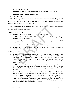for 2000 and 2060 conditions.

- Inclusion of subordination agreements not already included in the TCEO WAM
- Inclusion of system operation where appropriate
- Other corrections

The reliable supply from run-of-the-river diversions was assumed equal to the permitted diversion for water rights located on the main stem of the river and 75 percent of the permitted diversion for water rights located on tributaries.

Specific adjustments to the WAMs to more accurately reflect the water rights and agreements for water supply sources in Region C are:

## **Trinity River Basin WAM**

- Modeling of Lake Jacksboro and Lost Creek Reservoir as a system.
- Modeling of Tarrant Regional Water District's West Fork reservoirs (Bridgeport, Eagle Mountain, and Worth) as a system.
- An upstream diversion of Lake Livingston water from the Trinity River to Fairfield Lake.
- Inclusion of a minimum elevation for Lake Fairfield (305.0 ft. msl).
- Modeling of Dallas' water rights in the Elm Fork of the Trinity River as a system with Lake Lewisville and Ray Roberts.

## **Red River Basin WAM**

- Modeling of Lake Randell and Valley Lake as stand-alone reservoirs without Lake Texoma backups for the firm yield calculation. These two reservoirs are modeled one day senior to Lake Texoma's most senior authorization. Backup supply for these reservoirs from Lake Texoma is included in the supplies from Lake Texoma. For firm yield calculations for other reservoirs, the backups for Lake Randell and Valley Lake were retained. adjustments to the WAMs to more accurately reflect the water rights and<br>ply sources in Region C are:<br>
The Taxis WAM<br>
Eleling of Lake Jacksboro and Lost Creek Reservoir as a system.<br>
Eleling of Tarrant Regional Water Distri
- Modeling of Lake Texoma as a single reservoir with inactive storage rather than modeling as multiple storage pools for the Lake Texoma firm yield calculation. For the firm yield calculation of other reservoirs, multiple storage pools were retained in Lake Texoma.
- Removal of a "dummy" Lake Texoma water right for the State of Oklahoma for 100,000 acre-feet of storage and 113,000 acre-feet per year of diversion. This water right mirrors the recent NTMWD amendment. This change was necessary to limit the water supply storage to 450,000 acre-feet, the amount currently authorized by the U.S. Congress. (TCEQ currently assumes a diversion of 168,000 acre-feet per year from the existing 150,000 acre-feet of storage reserved for Oklahoma. Currently there are less than 5,000 acre-feet per year of permitted Oklahoma diversions.)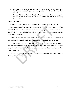- Addition of 50,000 acre-feet of storage and 56,500 acre-feet per year of diversion from Lake Texoma corresponding to the recent application by the Greater Texoma Utility Authority.
- Removal of backups of individual pools in Lake Texoma from the hydropower pool. These are not invoked in the WAM because all Lake Texoma rights are reliable using only their pools.

## **Imports to Region C**

Supplies from Lake Chapman were determined using the Sulphur River Basin WAM.

Information obtained from Region D indicated that no adjustments were made to the Sabine River WAM that would impact the currently available water supplies for Region C. Therefore, the yields for Lake Fork and Lake Tawakoni were assumed to be the same as they were in the 2006 Region C Water Plan<sup>(1)</sup>.

Region C has very few water supplies in the Brazos River Basin. Thus, the water availability information as determined by the Brazos G Regional Water Planning Group was adopted.

For Lake Palestine and Lake Athens, both in the Neches River Basin, the water availability information as determined by the Region I Water Planning Group was adopted. The available supply for Dallas Water Utilities from Lake Palestine was decreased based on a decreasing firm yield in the reservoir. The Unit of the Region Dindicated that no adjustments were made<br>that would impact the currently available water supplies for Region of<br>Take Fork and Lake Tawakoni were assumed to be the same as the<br>C Water Plan<sup>(1)</sup>.<br>C has

For Lake Livingston, the water availability information as determined by the Region H Water Planning Group was adopted.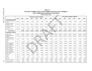|                                                      |              |         |             |             |                                           |         | Table I-3            |             | <b>Currently Available Surface Water Supplies from Reservoirs in Region C</b><br>(Not Considering Transmission Constraints) |         |             |             |                                         |             |         |
|------------------------------------------------------|--------------|---------|-------------|-------------|-------------------------------------------|---------|----------------------|-------------|-----------------------------------------------------------------------------------------------------------------------------|---------|-------------|-------------|-----------------------------------------|-------------|---------|
|                                                      |              |         |             |             | <b>Revised Surface Water Availability</b> |         | (Acre-Feet per Year) |             |                                                                                                                             |         |             |             | Surface Water Availability in 2006 Plan |             |         |
|                                                      | <b>Basin</b> | 2000    | 2010        | 2020        | 2030                                      | 2040    | 2050                 | 2060        | 2000                                                                                                                        | 2010    | 2020        | 2030        | 2040                                    | 2050        | 2060    |
| <b>WATER SUPPLY SYSTEMS</b>                          |              |         |             |             |                                           |         |                      |             |                                                                                                                             |         |             |             |                                         |             |         |
| Lost Creek/ Jacksboro<br>System                      | Trinity      | 1,597   | 1,597       | 1,597       | 1,597                                     | 1,597   | 1,597                | 1,597       | 1,440                                                                                                                       | 1.440   | 1,440       | 1,440       | 1,440                                   | 1,440       | 1,440   |
| West Fork (includes<br>Bridgeport Local)             | Trinity      | 110,500 | 109,833     | 109,167     | 108,500                                   | 107,833 | 107,167              | 106,500     | 110,000                                                                                                                     | 108,500 | 107,000     | 105,500     | 104,000                                 | 102,500     | 101,000 |
| Elm Fork/ Lewisville/<br>Ray Roberts                 | Trinity      | 213,129 | 211,699     | 210,269     | 208,839                                   | 207,409 | 205,979              | 204,549     | 193,753                                                                                                                     | 191,729 | 189,705     | 187,681     | 185,657                                 | 183,633     | 181,609 |
| Grapevine - Dallas                                   | Trinity      | 7,800   | 7,583       | 7,367       | 7,150                                     | 6,933   | 6,717                | 6,500       | 7,700                                                                                                                       | 7,250   | 6,800       | 6,350       | 5,900                                   | 5,450       | 5,000   |
| <b>Subtotal Systems</b>                              |              | 333,026 | 330,713     | 328,399     | 326,086                                   | 323,773 | 321,459              | 319,146     | 312,893                                                                                                                     | 308,919 | 304,945     | 300,971     | 296,997                                 | 293,023     | 289,049 |
| <b>RESERVOIRS IN REGION C</b>                        |              |         |             |             |                                           |         |                      |             |                                                                                                                             |         |             |             |                                         |             |         |
| <b>Cedar Creek</b>                                   | Trinity      | 175,000 | 175,000     | 175,000     | 175,000                                   | 175,000 | 175,000              | 175,000     | 175,000                                                                                                                     | 175,000 | 175,000     | 175,000     | 175,000                                 | 175,000     | 175,000 |
| <b>Richland-Chambers</b><br>(TRWD)                   | Trinity      | 210,000 | 210,000     | 210,000     | 210,000                                   | 210,000 | 210,000              | 210,000     | 210,000                                                                                                                     | 210,000 | 210,000     | 210,000     | 210,000                                 | 210,000     | 205,650 |
| Richland-Chambers<br>(Corsicana) and Lake<br>Halbert | Trinity      | 13,880  | 13,872      | 13,863      | 13,855                                    | 13,847  | 13,838               | 13,830      | 12,750                                                                                                                      | 12,625  | 12,500      | 12,375      | 12,250                                  | 12,125      | 12,000  |
| Moss                                                 | Red          | 7,410   | 7,410       | 7,410       | 7,410                                     | 7,410   | 7,410                | 7,410       | 4,500                                                                                                                       | 4,500   | 4,500       | 4,500       | 4,500                                   | 4,500       | 4,500   |
| Lake Texoma (Texas'<br>Share - NTMWD)                | Red          | 190,300 | 190,300     | 190,300     | 190,300                                   | 190,300 | 190,300              | 190,300     | 77,300                                                                                                                      | 77,300  | 77,300      | 77,300      | 77,300                                  | 77,300      | 77,300  |
| Lake Texoma (Texas'<br>Share - GTUA)                 | Red          | 25,000  | 25,000      | 25,000      | 25,000                                    | 25,000  | 25,000               | 25,000      | 25,000                                                                                                                      | 25,000  | 25,000      | 25,000      | 25,000                                  | 25,000      | 25,000  |
| Lake Texoma (Texas'<br>Share - Denison)              | Red          | 24,400  | 24,400      | 24,400      | 24,400                                    | 24,400  | 24,400               | 24,400      | 24,400                                                                                                                      | 24,400  | 24,400      | 24,400      | 24,400                                  | 24,400      | 24,400  |
| LakeTexoma (Texas'<br>Share - Luminant)              | Red          | 16,400  | 16,400      | 16,400      | 16,400                                    | 16,400  | 16,400               | 16,400      | 10,000                                                                                                                      | 10,000  | 10,000      | 10,000      | 10,000                                  | 10,000      | 10,000  |
| Lake Texoma (Texas'<br>Share - RRA)                  | Red          | 2,250   | 2,250       | 2,250       | 2,250                                     | 2,250   | 2,250                | 2,250       | 2,000                                                                                                                       | 2,000   | 2,000       | 2,000       | 2,000                                   | 2,000       | 2,000   |
| Randell                                              | Red          | 1,400   | 1,400       | 1,400       | 1,400                                     | 1,400   | 1,400                | 1,400       | 5,280                                                                                                                       | 5,280   | 5,280       | 5,280       | 5,280                                   | 5,280       | 5,280   |
| Valley                                               | Red          | 0       | $\mathbf 0$ | $\mathbf 0$ | 0                                         | 0       | $\mathbf 0$          | $\mathbf 0$ | 0                                                                                                                           | 0       | $\mathbf 0$ | $\mathbf 0$ | $\mathbf 0$                             | $\mathbf 0$ |         |
| Bonham                                               | Red          | 5,340   | 5,340       | 5,340       | 5,340                                     | 5,340   | 5,340                | 5,340       | 5,340                                                                                                                       | 5,340   | 5,340       | 5,340       | 4,850                                   | 4,250       | 3,650   |
| Ray Roberts (Denton)                                 | Trinity      | 19,240  | 18,980      | 18,720      | 18,460                                    | 18,200  | 17,940               | 17,680      | 21,008                                                                                                                      | 20,445  | 19,882      | 19,319      | 18,756                                  | 18,193      | 17,630  |
| Lewisville (Denton)                                  | Trinity      | 8,020   | 7,918       | 7,817       | 7,715                                     | 7,613   | 7,512                | 7,410       | 7,896                                                                                                                       | 7,702   | 7,507       | 7,313       | 7,119                                   | 6,924       | 6,730   |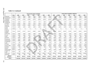|                                 |               |             |             |           | <b>Revised Surface Water Availability</b> |           |           |           |           |           |             |             | Surface Water Availability in 2006 Plan |             |           |
|---------------------------------|---------------|-------------|-------------|-----------|-------------------------------------------|-----------|-----------|-----------|-----------|-----------|-------------|-------------|-----------------------------------------|-------------|-----------|
|                                 | <b>Basin</b>  | 2000        | 2010        | 2020      | 2030                                      | 2040      | 2050      | 2060      | 2000      | 2010      | 2020        | 2030        | 2040                                    | 2050        | 2060      |
| Benbrook                        | Trinity       | 6,833       | 6,833       | 6,833     | 6,833                                     | 6,833     | 6,833     | 6,833     | 6,834     | 6,834     | 6,834       | 6,834       | 6,834                                   | 6,834       | 6,834     |
| Weatherford                     | Trinity       | 3,010       | 2,967       | 2,923     | 2,880                                     | 2,837     | 2,793     | 2,750     | 2,900     | 2,750     | 2,600       | 2,450       | 2,300                                   | 2,150       | 2,000     |
| Grapevine<br>(PCMUD)            | Trinity       | 17,200      | 17,050      | 16,900    | 16,750                                    | 16,600    | 16,450    | 16,300    | 16,800    | 16,167    | 15,533      | 14,900      | 14,267                                  | 13,633      | 13,000    |
| Grapevine<br>(Grapevine)        | Trinity       | 2,050       | 2,017       | 1,983     | 1,950                                     | 1,917     | 1,883     | 1,850     | 1,900     | 1,833     | 1,767       | 1,700       | 1,633                                   | 1,567       | 1,500     |
| Arlington                       | Trinity       | 10,000      | 9,850       | 9,700     | 9,550                                     | 9,400     | 9,250     | 9,100     | 8,400     | 8,333     | 8,267       | 8,200       | 8,133                                   | 8,067       | 8,000     |
| Joe Pool                        | Trinity       | 15,500      | 15,192      | 14,883    | 14,575                                    | 14,267    | 13,958    | 13,650    | 16,400    | 15,333    | 14,267      | 13,200      | 12,133                                  | 11,067      | 10,000    |
| Mountain<br>Creek               | Trinity       | 6,400       | 6,400       | 6,400     | 6,400                                     | 6,400     | 6,400     | 6,400     | 6,400     | 6,400     | 6,400       | 6,400       | 6,400                                   | 6,400       | 6,400     |
| North                           | Trinity       | 0           | 0           | 0         | 0                                         | 0         | 0         | 0         | 0         | 0         | 0           | 0           | 0                                       | 0           |           |
| Lake Ray<br>Hubbard<br>(Dallas) | Trinity       | 58,740      | 57,427      | 56,113    | 54,800                                    | 53,487    | 52,173    | 50,860    | 60,700    | 60,367    | 60,033      | 59,700      | 59,367                                  | 59,033      | 58,700    |
| White Rock                      | Trinity       | 3,800       | 3,500       | 3,200     | 2,900                                     | 2,600     | 2,300     | 2,000     | 5,900     | 5,083     | 4,267       | 3,450       | 2,633                                   | 1,817       | 1,000     |
| Terrell                         | Trinity       | 2,300       | 2,283       | 2,267     | 2,250                                     | 2,233     | 2,217     | 2,200     | 2,300     | 2,283     | 2,267       | 2,250       | 2,233                                   | 2,217       | 2,200     |
| Clark                           | Trinity       | 210         | 210         | 210       | 210                                       | 210       | 210       | 210       | 139       | 139       | 139         | 139         | 139                                     | 139         | 139       |
| Bardwell                        | Trinity       | 9,600       | 9,600       | 9,600     | 9,295                                     | 8,863     | 8,432     | 8,000     | 8,980     | 8,567     | 8,153       | 7,740       | 7,327                                   | 6,913       | 6,500     |
| Waxahachie                      | Trinity       | 3,010       | 2,905       | 2,800     | 2,695                                     | 2,590     | 2,485     | 2,380     | 2,760     | 2,667     | 2,573       | 2,480       | 2,387                                   | 2,293       | 2,200     |
| Forest Grove                    | Trinity       | 8,840       | 8,767       | 8,693     | 8,620                                     | 8,547     | 8,473     | 8,400     | 8,600     | 8,583     | 8,567       | 8,550       | 8,533                                   | 8,517       | 8,500     |
| <b>Trinidad City</b><br>Lake    | Trinity       | 450         | 450         | 450       | 450                                       | 450       | 450       | 450       | 500       | 500       | 500         | 500         | 500                                     | 500         | 500       |
| Trinidad                        | Trinity       | 3,050       | 3,050       | 3,050     | 3,050                                     | 3,050     | 3,050     | 3,050     | 3,100     | 3,067     | 3,033       | 3,000       | 2,967                                   | 2,933       | 2,900     |
| Navarro Mills                   | Trinity       | 19,400      | 19,342      | 18,333    | 17,325                                    | 16,317    | 15,308    | 14,300    | 19,400    | 19,400    | 18,800      | 17,850      | 16,900                                  | 15,950      | 15,000    |
| Fairfield                       | Trinity       | 870         | 870         | 870       | 870                                       | 870       | 870       | 870       | 1,700     | 1,567     | 1,433       | 1,300       | 1,167                                   | 1,033       | 900       |
| Bryson                          | <b>Brazos</b> | $\mathbf 0$ | $\mathbf 0$ | 0         | 0                                         | 0         | 0         | $\Omega$  | $\pmb{0}$ | 0         | $\mathbf 0$ | $\mathbf 0$ | 0                                       | 0           |           |
| Mineral Wells                   | <b>Brazos</b> | 2,520       | 2,508       | 2,495     | 2,483                                     | 2,470     | 2,458     | 2,445     | 2,520     | 2,508     | 2,495       | 2,483       | 2,470                                   | 2,458       | 2,445     |
| <b>Teague City</b><br>Lake      | <b>Brazos</b> | 189         | 189         | 189       | 189                                       | 189       | 189       | 189       | 189       | 189       | 189         | 189         | 189                                     | 189         | 189       |
| Lake Lavon                      | Trinity       | 113,300     | 112,033     | 110,767   | 109,500                                   | 108,233   | 106,967   | 105,700   | 104,000   | 104,000   | 104,000     | 104,000     | 104,000                                 | 104,000     | 104,000   |
| Muenster                        | Trinity       | 300         | 300         | 300       | 300                                       | 300       | 300       | 300       | 0         | 0         | 0           | 0           | 0                                       | $\mathbf 0$ |           |
| Subtotal<br><b>Reservoirs</b>   |               | 986,212     | 982,011     | 976,860   | 971,405                                   | 965,822   | 960,240   | 954,657   | 874,396   | 869,995   | 864,993     | 859,642     | 853,800                                 | 847,849     | 837,547   |
| <b>TOTAL</b>                    |               | 1,319,238   | 1,312,724   | 1,305,260 | 1,297,491                                 | 1,289,595 | 1,281,699 | 1,273,803 | 1,187,289 | 1,178,914 | 1,169,938   | 1,160,613   | 1,150,797                               | 1,140,872   | 1,126,596 |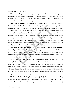## WATER SUPPLY SYSTEMS

The water supply systems listed are operated as physical systems – the water they provide cannot easily be separated by individual source. The supply available is based on the calculation of the Water Availability Models (WAMs), as described above. More detailed discussions on water supply available for each system are given below.

**Lost Creek/Jacksboro System (Jacksboro).** Lake Jacksboro is a 2,129 acre-foot reservoir located just outside of the City of Jacksboro in the Trinity River Basin in Jack County, and Lost Creek Reservoir is an 11,961 acre-foot reservoir located 1.5 miles downstream of the Lake Jacksboro dam. The City of Jacksboro holds a water right for the combined use of both reservoirs for municipal water supply and the right to divert 1,440 acre-feet per year. The water right authorizes the reservoirs to be operated as a system, so the WAM was modified to include system operation and the subordination agreement with TRWD. According to the WAM, the firm yield from this system as of 2060 is 2,430 acre-feet per year. The available supply from this system is limited to 1,597 acre-feet per year, which is the permitted amount of 1,397 plus 200 acre-feet per year of return flows that Jacksboro is authorized to use. outside of the City of Jacksboro in the Trinity River Basin in Jack Cot<br>voir is an 11,961 acre-foot reservoir located 1.5 miles downstream<br>am. The City of Jacksboro holds a water right for the combined<br>r municipal water su

**West Fork including Bridgeport Local System (Tarrant Regional Water District).** Tarrant Regional Water District's West Fork Reservoir system is comprised of Lake Bridgeport, Lake Worth, and Eagle Mountain Lake. The WAM was modified to include the system operation of these three reservoirs. The resulting combined system firm yield was 110,500 acrefeet per year in 2010 and 106,500 acre-feet per year in 2060.

Under current conditions, this system provides somewhat less supply than shown. With existing facilities, it is not possible to divert water from Lake Worth when the lake is drawn down more than four feet, which makes some of the water stored in Lake Worth unavailable. In addition, the Tarrant Regional Water District operates its water supplies on a safe yield basis, which provides a smaller supply than the firm yield numbers shown. (In safe yield operation, the user takes less than the firm yield in order to leave a reserve supply in the reservoir in case a drought worse than any historical drought occurs.)

**Elm Fork/Lake Lewisville/Ray Roberts System (Dallas).** This system, owned by Dallas, is comprised of Lake Lewisville, Lake Ray Roberts, and run-of-the-river rights from Elm Fork. The WAM was modified to include the system operation of these supplies. The resulting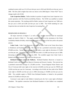combined system yield was 213,129 acre-feet per year in 2010 and 204,549 acre-feet per year in 2060. The firm yield is higher than what was shown in the 2006 *Region C Water Plan*(1) due to changes made in the WAM.

**Lake Grapevine (Dallas).** Dallas includes its portion of supply from Lake Grapevine in its system operation with Elm Fork/Lewisville/Ray Roberts. The WAM was modified to include this system operation. The resulting yield for Dallas' portion of Lake Grapevine was 7,800 acrefeet per year in 2010 and 6,500 acre-feet per year in 2060. The WAM modeling for Lake Grapevine does not include the Lake Grapevine Accounting Plan.

## RESERVOIRS IN REGION C

All major reservoirs in Region C as well as some smaller reservoirs used for municipal supply are listed in Table I-3. The supply available is based on the calculation of the Water Availability Models (WAMs), which limits the supply to the lesser of the firm yield or the permit amount.

**Cedar Creek.** Cedar Creek Reservoir is located on Cedar Creek in the Trinity River Basin in Henderson and Kaufman Counties. The reservoir has a permitted conservation storage of 678,900 acre-feet. Tarrant Regional Water District holds a water right for diversion of 175,000 acre-feet per year. According to the WAM, the firm yield is 211,900 acre-feet per year in 2000, decreasing to 205,200 acre-feet per year by 2060. The available supply from Cedar Creek is limited to the permit amount of 175,000 acre-feet per year. besonder the Lake Grapevine Accounting Plan.<br>
IRS IN REGION C<br>
The street of as well as some smaller reservoirs used that the Table I-3. The supply available is based on the calculation<br>
Models (WAMs), which limits the sup

**Richland-Chambers (and Lake Halbert).** Richland-Chambers Reservoir is located on Richland Creek in the Trinity River Basin in Freestone and Navarro Counties. The reservoir has a permitted conservation storage of 1,135,000 acre-feet. Tarrant Regional Water District and City of Corsicana hold water rights in the reservoir (210,000 acre-feet per year for TRWD and 13,650 acre-feet per year for Corsicana). According to the WAM, the firm yield of the TRWD water right is 228,300 acre-feet per year in 2000, decreasing to 210,800 acre-feet per year by 2060. The available supply to TRWD from Richland-Chambers is limited to the permitted amount of 210,000 acre-feet per year.

Corsicana's water right in Lake Halbert is backed up by the City's water right in Richland-Chambers. The pipeline connection from Richland-Chambers to Lake Halbert was completed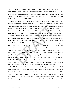since the 2006 Region C Water Plan<sup>(1)</sup>. Lake Halbert is located on Elm Creek in the Trinity River Basin in Navarro County. The reservoir has permitted conservation storage of 7,357 acrefeet. The City of Corsicana holds a water right in Lake Halbert for 4,003 acre-feet per year. According to the WAM, the available supply from Richland Chambers Reservoir and Lake Halbert to Corsicana as of 2060 is 13,830 acre-feet per year.

**Moss.** Moss Lake is located on Fish Creek in the Red River Basin in Cooke County. The reservoir has permitted conservation storage of 23,210 acre-feet. The City of Gainesville holds water rights in the reservoir for 7,740 acre-feet per year. According to the WAM, the available supply from Moss Lake in 2060 is 7,410 acre-feet per year. The available supply from Moss Lake has increased from what was shown in the 2006 *Region C Water Plan*<sup>(1)</sup> because the City of Gainesville increased their water right from 4,500 acre-feet per year to 7,740 acre-feet per year.

**Texoma (Texas' share).** Lake Texoma is located along the Texas and Oklahoma border in the Red River Basin in Grayson and Cooke Counties. The permitted conservation storage for water supply in Texas is 300,000 acre-feet. Red River Authority, Greater Texoma Utility Authority, Denison, North Texas Municipal Water District, and Luminant all hold water rights in the reservoir. Since the 2006 *Region C Water Plan*<sup>(1)</sup>, Luminant increased its Lake Texoma water right by 6,400 acre-feet per year, and North Texas Municipal Water District increased its water right by 113,000 acre-feet per year and increased its permitted storage by 100,000 acrefeet. The total Texoma supply available to Region C as of 2060 is 258,350 acre-feet per year (2,250 acre-feet per year for Red River Authority; 25,000 acre-feet per year for Greater Texoma Utility Authority; 24,400 acre-feet per year for Denison; 190,300 acre-feet per year for NTMWD; and 16,400 acre-feet per year for Luminant). In the case of Texoma, the available supply is limited to the water right amount. The firm yield of Texas' share of Lake Texoma is 643,625 acre-feet per year in 2000, decreasing to 640,575 acre-feet per year by 2060. in the reservoir for 7,740 acre-feet per year. According to the WAM,<br>Moss Lake in 2060 is 7,410 acre-feet per year. The available supp<br>reased from what was shown in the 2006 *Region C Water Plan*<sup>(1)</sup> becau<br>ncreased their

**Randell.** Randell Reservoir is located on an unnamed tributary of Shawnee Creek in the Red River Basin in Grayson County. The reservoir has permitted conservation storage of 5,400 acrefeet. The City of Denison holds a water right in the reservoir for 5,280 acre-feet per year. The supply from Lake Randell is backed up by up to 24,400 acre-feet per year of diversions from Lake Texoma, which are fully reliable. The available supply from Randell Reservoir as of 2060 is 1,400 acre-feet per year without a backup from Lake Texoma. The decrease from the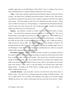available supply shown in the 2006 *Region C Water Plan*<sup>(1)</sup> is due to a change in how the firm yield of Randell Reservoir is reported (without a backup from Lake Texoma).

**Valley.** Valley Lake is located on Sand Creek in the Red River Basin in Fannin and Grayson Counties. The reservoir has a permitted conservation storage of 15,000 acre-feet. This reservoir is operated by Luminant for steam electric power cooling in conjunction with their water right in Lake Texoma. The total amount of water that can be diverted from either Texoma or Valley Lake is 16,400 acre-feet per year. During drought, it is assumed that the full permitted diversion would be taken from Lake Texoma (see Lake Texoma discussion). Therefore the available supply from Valley Lake is 0 acre-feet per year.

**Bonham.** Lake Bonham is located on Timber Creek in the Red River Basin in Fannin County. The reservoir has permitted conservation storage of 13,000 acre-feet. The City of Bonham holds a water right in the reservoir for 5,340 acre-feet per year. The NTMWD has an agreement with the City of Bonham to operate the lake and water treatment plant. According to the WAM, the firm yield of Lake Bonham is 6,500 acre-feet per year in 2000, decreasing to 5,800 acre-feet per year by 2060. The available supply from Lake Bonham is limited to the permitted amount of 5,340 acre-feet per year. The increase from the available supply shown in the 2006 *Region C Water Plan*(1) is due to using a lower sedimentation rate, which was calculated using the 2004 volumetric survey of Lake Bonham. ken from Lake Texoma (see Lake Texoma discussion). Therefore<br>Valley Lake is 0 acre-feet per year.<br>
L. Lake Bonham is located on Timber Creek in the Red River Ba:<br>
te reservoir has permitted conservation storage of 13,000

**Ray Roberts (Denton).** Lake Ray Roberts and Lake Lewisville were modeled to find the firm yields of Denton's water rights. Lake Ray Roberts is located on the Elm Fork of the Trinity River in Denton, Cooke, and Grayson Counties. The reservoir has a permitted conservation storage of 799,600 acre-feet. The City of Dallas and the City of Denton hold combined water rights in the reservoir totaling 799,600 acre-feet per year, which is much greater than the actual yield of the reservoir. Dallas' share of Lake Ray Roberts was discussed above under *Water Supply Systems*. According to the WAM, Denton's available supply from Ray Roberts as of 2060 is 17,680 acre-feet per year.

**Lewisville (Denton).** Lake Lewisville is located on the Elm Fork of the Trinity River in Denton County. The reservoir has a permitted conservation storage of 618,400 acre-feet. The City of Dallas and the City of Denton hold combined water rights in the reservoir totaling 598,900 acre-feet per year, which is much greater than the actual yield of the reservoir. Dallas'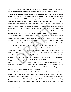share of Lake Lewisville was discussed above under *Water Supply Systems*. According to the WAM, Denton's available supply from Lewisville as of 2060 is 7,410 acre-feet per year.

**Benbrook.** Lake Benbrook is located on the Clear Fork of the Trinity River in Tarrant County. The reservoir has a permitted conservation storage of 72,500 acre-feet. The authorized use from Lake Benbrook is 6,833 acre-feet per year. Tarrant Regional Water District holds the water right, which specifies use amounts for Benbrook Water and Sewer Authority, City of Fort Worth, and City of Weatherford. According to the WAM, the firm yield of Lake Benbrook is 7,280 acre-feet per year in 2000, decreasing to 6,833 acre-feet per year by 2060. The available supply from Lake Benbrook is limited to the permitted amount of 6,833 acre-feet per year. Lake Benbrook is used as terminal storage for water pumped from Cedar Creek and Richland Chambers Reservoirs. The available supply does not include water from these sources.

**Weatherford.** Lake Weatherford is located on the Clear Fork of the Trinity River in Parker County. The reservoir has permitted conservation storage of 19,470 acre-feet. The City of Weatherford holds a water right for consumptive use 5,220 acre-feet per year. (The permit also authorizes 59,400 acre-feet per year of non-consumptive industrial use.) According to the WAM, available supply from Lake Weatherford as of 2060 is 2,750 acre-feet per year.

**Grapevine.** Lake Grapevine is located on Denton Creek in the Trinity River Basin in Tarrant and Denton Counties. The reservoir has a permitted conservation storage of 161,250 acre-feet. City of Dallas, City of Grapevine, and Dallas County Park Cities MUD hold combined water rights in the reservoir totaling 161,250 acre-feet per year, which is much greater than the actual yield of the reservoir. Dallas' share of Lake Grapevine was discussed above under *Water Supply Systems*. According to the WAM, Dallas County PCMUD's available supply from Lake Grapevine as of 2060 is 16,300 acre-feet per year, and the City of Grapevine's available supply from Lake Grapevine as of 2060 is 1,850 acre-feet per year. The increase in available supply from the available supply shown in the 2006 *Region C Water Plan*(1) is due to a change made in the TCEQ Trinity WAM to reallocate reservoir evaporation. eet per year in 2000, decreasing to 6,833 acre-feet per year by 2060.<br>Lake Benbrook is limited to the permitted amount of 6,833 acre-feet p<br>s used as terminal storage for water pumped from Cedar Creek is<br>eservoirs. The ava

**Arlington.** Lake Arlington is located on Village Creek in the Trinity River Basin in Tarrant County. The reservoir has a permitted conservation storage of 45,710 acre-feet. The City of Arlington and Luminant jointly hold a water right for 23,120 acre-feet per year (13,000 acre-feet per year for Arlington and 10,120 acre-feet per year for Luminant). According to the WAM, available supply from Lake Arlington as of 2060 is 9,100 acre-feet per year. Like Lake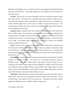Benbrook, Lake Arlington serves as terminal storage for water pumped from Richland-Chambers and Cedar Creek Reservoirs. The available supply from Lake Arlington does not include water from these sources.

**Joe Pool.** Joe Pool Lake is located on Mountain Creek in the Trinity River Basin in Dallas and Tarrant Counties. The reservoir has a permitted conservation storage of 176,900 acre-feet. The Trinity River Authority holds a water right for 17,000 acre-feet per year. According to the WAM, available supply from Joe Pool Lake as of 2060 is 13,650 acre-feet per year. The available supply is higher than what was shown in the 2006 *Region C Water Plan*<sup>(1)</sup> because a lower sedimentation rate was used.

**Mountain Creek.** Mountain Creek Lake is located on Mountain Creek in the Trinity River Basin in Dallas County. The reservoir has a permitted conservation storage of 22,840 acre-feet. Luminant holds a water right for 6,400 acre-feet per year. According to the WAM, the firm yield of Mountain Creek Lake is 13,300 acre-feet per year in 2000, decreasing to 11,700 acre-feet per year by 2060. The available supply from Mountain Creek Lake is limited to the permitted amount of 6,400 acre-feet per year. byly is higher than what was shown in the 2006 *Region C Water Pla*<br>entation rate was used.<br>
in Creek. Mountain Creek Lake is located on Mountain Creek in the<br>
las County. The reservoir has a permitted conservation storage

**North.** North Lake is an off-channel reservoir located on the South Fork of Grapevine Creek in the Trinity River Basin in Dallas County. The reservoir has a permitted conservation storage of 17,100 acre-feet. Luminant holds a water right for 1,000 acre-feet per year. According to the WAM, available supply from North Lake as of 2060 is 0 acre-feet per year without backup from the Elm Fork.

**Ray Hubbard.** Lake Ray Hubbard is located on the Elm Fork of the Trinity River in Dallas, Kaufman, and Rockwall Counties. The reservoir has a permitted conservation storage of 490,000 acre-feet. The City of Dallas holds a water right for 89,700 acre-feet per year. According to the WAM, available supply from Ray Hubbard as of 2000 is 58,740 acre-feet per year in 2000, decreasing to 50,860 acre-feet per year by 2060. The available supply is less than what was shown in the 2006 *Region C Water Plan*<sup>(1)</sup> because a higher sedimentation rate based on the 2005 volumetric survey for Lake Ray Hubbard was used.

**White Rock.** White Rock Lake is located on White Rock Creek in the Trinity River Basin in Dallas County. The reservoir has a permitted conservation storage of 21,345 acre-feet. The City of Dallas holds a water right for 8,703 acre-feet per year. According to the WAM, available supply from White Rock Lake as of 2060 is 2,000 acre-feet per year.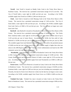**Terrell.** Lake Terrell is located on Muddy Cedar Creek in the Trinity River Basin in Kaufman County. The reservoir has a permitted conservation storage of 8,712 acre-feet. The City of Terrell holds a water right for 6,000 acre-feet per year. According to the WAM, available supply from Terrell as of 2060 is 2,200 acre-feet per year.

**Clark.** Lake Clark is located on Little Mustang Creek in the Trinity River Basin in Ellis County. The reservoir has a permitted conservation storage of 1,549 acre-feet. The City of Ennis holds a water right for 450 acre-feet per year. According to the WAM, available supply from Lake Clark as of 2060 is 210 acre-feet per year. The City of Ennis no longer uses water from Lake Clark.

**Bardwell.** Lake Bardwell is located on Waxahachie Creek in the Trinity River Basin in Ellis County. The reservoir has a permitted conservation storage of 54,900 acre-feet. The Trinity River Authority holds a water right for 14,729 acre-feet per year (which includes reuse of up to 5,129 acre-feet per year of return flows). According to the WAM, the firm yield of Lake Bardwell is 10,590 acre-feet per year in 2000, decreasing to 8,000 acre-feet per year by 2060. The available supply from Lake Bardwell is the smaller of the firm yield or the permitted amount of 9,600 acre-feet per year without return flows. The available supply is higher than what was shown in the 2006 *Region C Water Plan*<sup>(1)</sup> because a lower sedimentation rate based on the 1999 volumetric survey for Lake Bardwell was used. Clark as of 2060 is 210 acre-feet per year. The City of Ennis no long<br>
llark.<br>
II. Lake Bardwell is located on Waxahachie Creek in the Trinity River<br>
e reservoir has a permitted conservation storage of 54,900 acre-feet.<br>

 **Waxahachie.** Lake Waxahachie is located on Waxahachie Creek in the Trinity River Basin in Ellis County. The reservoir has a permitted conservation storage of 13,500 acre-feet. Ellis County Water Control and Improvement District #1 holds a water right for 3,570 acre-feet per year. According to the WAM, available supply from Lake Waxahachie as of 2060 is 2,380 acrefeet per year.

**Forest Grove.** Forest Grove Reservoir is located on Caney Creek in the Trinity River Basin in Henderson County. The reservoir has a permitted conservation storage of 20,038 acre-feet. Luminant holds a water right for 9,500 acre-feet per year (not including non-consumptive use). Presently, the dam for Forest Grove Reservoir is built, but the lake has not begun to store water. According to the WAM, available supply from Forest Grove as of 2060 is 8,400 acre-feet per year.

**Trinidad City Lake.** Trinidad City Lake is located on Cedar Creek in the Trinity River Basin in Henderson County. The reservoir has a permitted conservation storage of 498 acre-feet.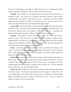The City of Trinidad holds a water right for 1,000 acre-feet per year. According to the WAM, available supply from Trinidad City Lake as of 2060 is 450 acre-feet per year.

**Trinidad.** Lake Trinidad is an off-channel reservoir located just off the Trinity River in Henderson County. The reservoir has a permitted conservation storage of 6,200 acre-feet. Luminant holds a water right for 4,000 acre-feet per year. According to the WAM, available supply from Lake Trinidad as of 2060 is 3,050 acre-feet per year. However, access to return flows in the watershed make the Lake Trinidad permitted supply reliable.

**Navarro Mills.** Lake Navarro Mills is located on Richland Creek in the Trinity River Basin in Navarro County. The reservoir has a permitted conservation storage of 63,300 acre-feet. The Trinity River Authority holds a water right for 19,400 acre-feet per year. According to the WAM, available supply from Navarro Mills as of 2060 is 14,300 acre-feet per year.

**Fairfield.** Lake Fairfield is located on Big Brown Creek in the Trinity River Basin in Freestone County. The reservoir has a permitted conservation storage of 50,600 acre-feet. Luminant holds a water right for 14,150 acre-feet per year. According to the WAM, available supply from Lake Fairfield as of 2060 is 870 acre-feet per year with a minimum operating level of 305.0 feet msl and without backup from the Trinity River. **Mills.** Lake Navarro Mills is located on Richland Creek in the Trinit<br>County. The reservoir has a permitted conservation storage of 63,300 are<br>The Authority holds a water right for 19,400 acre-feet per year. Acc<br>able sup

**Bryson.** Lake Bryson is located on East Rock Creek in the Brazos River Basin in Jack County. The reservoir has a permitted conservation storage of 950 acre-feet. The City of Bryson holds a water right for 90 acre-feet per year. According to the WAM, available supply from Bryson as of 2060 is 0 acre-feet per year.

**Mineral Wells.** Lake Mineral Wells is located on Rock Creek in the Brazos River Basin in Parker County. The reservoir has a permitted conservation storage of 7,065 acre-feet. The City of Mineral Wells holds a water right for 2,520 acre-feet per year. According to the WAM, available supply from Mineral Wells as of 2060 is 2,445 acre-feet per year. The City of Mineral Wells no longer uses water from Lake Mineral Wells.

**Teague City Lake.** Teague City Lake is located on Holman Creek in the Brazos River Basin in Freestone County. The reservoir has permitted conservation storage of 1,160 acre-feet. The City of Teague holds a water right for 605 acre-feet per year. According to the WAM, available supply from Teague City Lake as of 2060 is 189 acre-feet per year. The City of Teague no longer uses Teague City Lake for water supply.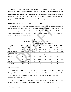**Lavon.** Lake Lavon is located on the East Fork of the Trinity River in Collin County. The reservoir has permitted conservation storage of 443,800 acre-feet. North Texas Municipal Water District holds water rights for 118,670 acre-feet per year. According to the WAM, the available supply from Lake Lavon is 113,300 acre-feet per year in 2000, decreasing to 105,700 acre-feet per year by 2060. This yield does not include return flows or imported water.

## UNPERMITTED YIELDS IN REGION C RESERVOIRS

| According to the WAMs, there are eight reservoirs and one reservoir system in Region C        |              |         |                                                                      |         |                                       |         |         |          |
|-----------------------------------------------------------------------------------------------|--------------|---------|----------------------------------------------------------------------|---------|---------------------------------------|---------|---------|----------|
| with firm yields that exceed the currently permitted diversion amounts. These reservoirs with |              |         |                                                                      |         |                                       |         |         |          |
| their unpermitted yields are listed in Table I-4. Note that the Oklahoma share of Lake Texoma |              |         |                                                                      |         |                                       |         |         |          |
| yield is not included in the table. The unpermitted Oklahoma yield in Lake Texoma would be    |              |         |                                                                      |         |                                       |         |         |          |
| about 635,781 acre-feet per year in 2060.                                                     |              |         |                                                                      |         |                                       |         |         |          |
|                                                                                               |              |         | <b>Table I-4</b><br><b>Unpermitted Yields in Region C Reservoirs</b> |         |                                       |         |         |          |
|                                                                                               |              |         |                                                                      |         | Unpermitted Yield, acre-feet per year |         |         |          |
| <b>Reservoir</b>                                                                              | <b>Basin</b> | 2000    | 2010                                                                 | 2020    | 2030                                  | 2040    | 2050    | 2060     |
| Lost Creek/Jacksboro<br>System                                                                | Trinity      | 913     | 900                                                                  | 886     | 873                                   | 860     | 846     | 833      |
| <b>Cedar Creek</b>                                                                            | Trinity      | 36,900  | 35,783                                                               | 34,667  | 33,550                                | 32,433  | 31,317  | 30,200   |
| <b>Richland Chambers</b>                                                                      | Trinity      | 18,300  | 15,383                                                               | 12,467  | 9,550                                 | 6,633   | 3,717   | 800      |
| Lake Texoma (Texas'<br>Share)                                                                 | Red          | 385,275 | 384,767                                                              | 384,258 | 383,750                               | 383,242 | 382,733 | 382,225  |
| Benbrook                                                                                      | Trinity      | 447     | 373                                                                  | 298     | 224                                   | 149     | 75      | $\Omega$ |
| Bonham                                                                                        | Trinity      | 1,160   | 1,043                                                                | 927     | 810                                   | 693     | 577     | 460      |
| <b>Mountain Creek</b>                                                                         | Trinity      | 6,900   | 6,633                                                                | 6,367   | 6,100                                 | 5,833   | 5,567   | 5,300    |
| Bardwell                                                                                      | Trinity      | 990     | 558                                                                  | 127     | 0                                     | 0       | 0       | 0        |
| <b>Navarro Mills</b>                                                                          | Trinity      | 950     | 0                                                                    | 0       | 0                                     | 0       | 0       | 0        |

**Table I-4 Unpermitted Yields in Region C Reservoirs** 

## *Groundwater*

Groundwater in Region C is obtained from two major aquifers, four minor aquifers and locally undifferentiated formations referred to as "other aquifer". The two major aquifers are the Trinity and Carrizo-Wilcox aquifers. The three minor aquifers are the Woodbine, Queen City, Nacatoch, and Sparta aquifers.

The TWDB created sixteen Groundwater Management Areas in Texas. GMA 8 covers all of Region C except for Jack County, Henderson County, and a small portion of Navarro County.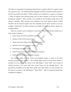The GMAs are responsible for developing Desired Future Conditions (DFCs) for aquifers within their respective areas. The TWDB quantifies Managed Available Groundwater (MAG) based on the DFCs provided by the GMAs. If MAG numbers were available for an aquifer as of January 1, 2009, the regional water planning groups must use these estimates as the basis for existing groundwater supplies<sup>(2)</sup>. MAG estimates were available for the Woodbine aquifer prior to the January  $1<sup>st</sup>$  deadline. MAG estimates were available for the Trinity aquifer in March of 2009. The DFCs for the Nacatoch aquifer have been submitted, but the MAG estimates are not yet available. Neither DFCs nor MAG estimates are available for the Carrizo-Wilcox, Queen City, or Sparta aquifers.

There are currently seven Groundwater Conservation Districts (GCDs) that include one or more counties in Region C:

- Upper Trinity GCD (Wise and Parker Counties)
- Northern Trinity GCD (Tarrant County)
- Neches and Trinity Valleys GCD (Henderson County)
- Mid-East Texas GCD (Freestone County)
- Prairielands GCD (Ellis County)
- North Texas GCD (Collin, Cooke, and Denton Counties)
- Red River GCD (Grayson and Fannin Counties)

The available supply from the Trinity and Woodbine aquifers is based on the MAG estimates provided by the TWDB<sup> $(4,5)$ </sup>. The available supply from the Carrizo-Wilcox aquifer is assumed to be the same as was shown in the 2006 *Region C Water Plan*<sup>(1)</sup> and is based on minimal lowering of the water table from current levels over the planning period. The groundwater availability for the other minor aquifers and "other aquifer" are also assumed to be the same as was shown in the 2006 *Region C Water Plan*<sup>(1)</sup>. Table I-5 details the groundwater availability for Region C. leither DFCs nor MAG estimates are available for the Carrizo-Wilcox<br>uifers.<br>re currently seven Groundwater Conservation Districts (GCDs) that in<br>sin Region C:<br>Trinity GCD (Wise and Parker Counties)<br>nern Trinity GCD (Tarran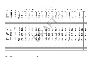# **Table I-5 Groundwater Availability for Region C (Acre-Feet per Year)**

| Aquifer        | County        | <b>Basin</b> |             |                |             | <b>Revised Groundwater Availability</b> |             |                |                |          |              | Groundwater Availability in 2006 Plan |          |             |                 |             |              |             |             |                  | Change in Groundwater Availability since 2006 Plan |          |              |
|----------------|---------------|--------------|-------------|----------------|-------------|-----------------------------------------|-------------|----------------|----------------|----------|--------------|---------------------------------------|----------|-------------|-----------------|-------------|--------------|-------------|-------------|------------------|----------------------------------------------------|----------|--------------|
|                |               |              | 2000        | 2010           | 2020        | 2030                                    | 2040        | 2050           | 2060           | 2000     | 2010         | 2020                                  | 2030     | 2040        | 2050            | 2060        | 2000         | 2010        | 2020        | 2030             | 2040                                               | 2050     | 2060         |
| Other          | Collin        | Sabine       | 5           | 5 <sub>1</sub> | 5           | 5                                       | 5           | -5             | -5             | -5       | 5            | 5                                     | 5        | 5           | $5\overline{)}$ | 5           | $\mathbf{0}$ | 0           | 0           | $\mathbf 0$      | $\mathbf 0$                                        | 0        | $\mathbf{0}$ |
| Other          | Collin        | Trinity      | 134         | 134            | 134         | 134                                     | 134         | 134            | 134            | 134      | 134          | 134                                   | 134      | 134         | 134             | 134         | 0            | $\Omega$    |             |                  | 0                                                  |          | 0            |
| <b>Trinity</b> | Collin        | Sabine       | $\mathbf 0$ | $\mathbf 0$    | $\mathbf 0$ | $\mathbf 0$                             | $\mathbf 0$ | $\Omega$       | $\mathbf 0$    | 0        | $\mathbf{0}$ | $\mathbf 0$                           | $\Omega$ | $\mathbf 0$ | $\mathbf 0$     | 0           | 0            | 0           | $\Omega$    | 0                | 0                                                  |          | 0            |
| Trinity        | Collin        | Trinity      | 2,100       | 2,100          | 2,100       | 2,100                                   | 2,100       | 2,100          | 2,100          | 2,100    | 2,100        | 2,100                                 | 2,100    | 2,100       | 2,100           | 2,100       | 0            | 0           | $\Omega$    | $\mathbf 0$      | $\mathbf 0$                                        | 0        | $\Omega$     |
| Woodbine       | Collin        | Sabine       | 40          | 40             | 40          | 40                                      | 40          | 40             | 40             | 130      | 130          | 130                                   | 130      | 130         | 130             | 130         | (90)         | (90)        | (90)        | (90)             | (90)                                               | (90)     | (90)         |
| Woodbine       | Collin        | Trinity      | 2,469       | 2,469          | 2,469       | 2,469                                   | 2,469       | 2,469          | 2,469          | 2,370    | 2,370        | 2,370                                 | 2,370    | 2,370       | 2,370           | 2,370       | 99           | 99          | 99          | 99               | 99                                                 | 99       | 99           |
|                | Collin        |              | 4,748       | 4,748          | 4,748       | 4,748                                   | 4,748       | 4,748          | 4,748          | 4,739    | 4,739        | 4,739                                 | 4,739    | 4,739       | 4,739           | 4,739       | 9            | 9           | 9           | 9                | 9                                                  | 9        | 9            |
|                |               |              |             |                |             |                                         |             |                |                |          |              |                                       |          |             |                 |             |              |             |             |                  |                                                    |          |              |
| Other          | Cooke         | Red          | 237         | 237            | 237         | 237                                     | 237         | 237            | 237            | 237      | 237          | 237                                   | 237      | 237         | 237             | 237         | $\mathbf 0$  | 0           | $\mathbf 0$ | $\Omega$         | $\mathbf{0}$                                       | 0        | $\mathbf{0}$ |
| Other          | Cooke         | Trinity      | $\mathbf 0$ | 0              | $\mathbf 0$ | $\mathbf 0$                             | 0           | $\overline{0}$ | $\mathbf 0$    | 0        | 0            | $\overline{\mathbf{0}}$               | 0        | $\mathbf 0$ | $\mathbf 0$     | 0           | 0            | $\mathbf 0$ | $\Omega$    | $\Omega$         | $\mathbf 0$                                        | $\Omega$ | 0            |
| Trinity        | Cooke         | Red          | 1,284       | 1,284          | 1,284       | 1,284                                   | 1,284       | 1,284          | 1,284          | 950      | 950          | 950                                   | 950      | 950         | 950             | 950         | 334          | 334         | 334         | 334              | 334                                                | 334      | 334          |
| Trinity        | Cooke         | Trinity      | 5,566       | 5,566          | 5,566       | 5,566                                   | 5,566       | 5,566          | 5,566          | 5,450    | 5,450        | 5,450                                 | 5,450    | 5,450       | 5,450           | 5,450       | 116          | 116         | 116         | 116              | 116                                                | 116      | 116          |
| Woodbine       | Cooke         | Red          | 18          | 18             | 18          | 18                                      | 18          | 18             | 18             | 0        | 0            | 0                                     |          | 0           | 0               | 0           | 18           | 18          | 18          | 18               | 18                                                 | 18       | 18           |
| Woodbine       | Cooke         | Trinity      | 136         | 136            | 136         | 136                                     | 136         | 136            | 136            | 0        | 0            | $\Omega$                              | $\Omega$ | 0           | $\mathbf 0$     | 0           | 136          | 136         | 136         | 136              | 136                                                | 136      | 136          |
|                | Cooke         |              | 7,241       | 7,241          | 7,241       | 7,241                                   | 7,241       | 7,241          | 7,241          | 6,637    | 6,637        | 6,637                                 | 6,637    | 6,637       | 6,637           | 6,637       | 604          | 604         | 604         | 604              | 604                                                | 604      | 604          |
|                |               |              |             |                |             |                                         |             |                |                |          |              |                                       |          |             |                 |             |              |             |             |                  |                                                    |          |              |
| Other          | Dallas        | Trinity      | 593         | 593            | 593         | 593                                     | 593         | 593            | 593            | 593      | 593          | 593                                   | 593      | 593         | 593             | 593         | $\mathbf 0$  | $\mathbf 0$ | $\Omega$    | $\mathbf 0$      | 0                                                  | $\Omega$ | 0            |
| Trinity        | Dallas        | Trinity      | 5,458       | 5,458          | 5,458       | 5,458                                   | 5,458       | 5,458          | 5,458          | 4,400    | 4,400        | 4,400                                 | 4,400    | 4,400       | 4,400           | 4,400       | 1,058        | 1,058       | 1,058       | 1,058            | 1,058                                              | 1,058    | 1,058        |
| Woodbine       | Dallas        | Trinity      | 2,313       | 2,313          | 2,313       | 2,313                                   | 2,313       | 2,313          | 2,313          | 1,100    | 1,100        | 1,100                                 | 1,100    | 1,100       | 1,100           | 1,100       | 1,213        | 1,213       | 1,213       | 1,213            | 1,213                                              | 1,213    | 1,213        |
|                | <b>Dallas</b> |              | 8,364       | 8,364          | 8,364       | 8,364                                   | 8,364       | 8,364          | 8,364          | 6,093    | 6,093        | 6,093                                 | 6,093    | 6,093       | 6,093           | 6,093       | 2,271        | 2,271       | 2,271       | 2,271            | 2,271                                              | 2,271    | 2,271        |
| Other          | Denton        | Trinity      | -5          | 5              | -5          | 5                                       | 5           | -5             | $\overline{5}$ | 5        |              | -5                                    |          | -5          | 5               | 5           | $\mathbf 0$  | 0           | $\Omega$    | $\mathbf 0$      | $\mathbf 0$                                        | 0        | $\Omega$     |
| Trinity        | Denton        | Trinity      | 19,333      | 19,333         | 19,333      | 19,333                                  | 19,333      | 19,333         | 19,333         | 10,400   | 10,400       | 10,400                                | 10,400   | 10,400      | 10,400          | 10,400      | 8,933        | 8,933       | 8,933       | 8,933            | 8,933                                              | 8,933    | 8,933        |
| Woodbine       | Denton        | Trinity      | 4,126       | 4,126          | 4,126       | 4,126                                   | 4,126       | 4,126          | 4,126          | 4,700    | 4,700        | 4,700                                 | 4,700    | 4,700       | 4,700           | 4,700       | (574)        | (574)       | (574)       | (574)            | (574)                                              | (574)    | (574)        |
|                | Denton        |              | 23,464      | 23,464         | 23,464      | 23,464                                  | 23,464      | 23,464         | 23,464         | 15,105   | 15,105       | 15,105                                | 15,105   | 15,105      | 15,105          | 15,105      | 8,359        | 8,359       | 8,359       | 8,359            | 8,359                                              | 8,359    | 8,359        |
|                |               |              |             |                |             |                                         |             |                |                |          |              |                                       |          |             |                 |             |              |             |             |                  |                                                    |          |              |
| Other          | <b>Ellis</b>  | Trinity      | 139         | 139            | 139         | 139                                     | 139         | 139            | 139            | 139      | 139          | 139                                   | 139      | 139         | 139             | 139         | 0            | 0           | $\mathbf 0$ | $\mathbf 0$      | $\mathbf 0$                                        | $\Omega$ | 0            |
| Trinity        | <b>Ellis</b>  | Trinity      | 3,959       | 3,959          | 3,959       | 3,959                                   | 3,959       | 3,959          | 3,959          | 4,000    | 4,000        | 4,000                                 | 4,000    | 4,000       | 4,000           | 4,000       | (41)         | (41)        | (41)        | (41)             | (41)                                               | (41)     | (41)         |
| Woodbine       | <b>Ellis</b>  | Trinity      | 5,441       | 5,441          | 5,441       | 5,441                                   | 5,441       | 5,441          | 5,441          | 4,400    | 4,400        | 4,400                                 | 4,400    | 4,400       | 4,400           | 4,400       | 1,041        | 1,041       | 1,041       | 1,041            | 1,041                                              | 1,041    | 1,041        |
|                | <b>Ellis</b>  |              | 9,539       | 9,539          | 9,539       | 9,539                                   | 9,539       | 9,539          | 9,539          | 8,539    | 8,539        | 8,539                                 | 8,539    | 8,539       | 8,539           | 8,539       | 1,000        | 1,000       | 1,000       | 1,000            | 1,000                                              | 1,000    | 1,000        |
|                |               |              |             |                |             |                                         |             |                |                |          |              |                                       |          |             |                 |             |              |             |             |                  |                                                    |          |              |
| Trinity        | Fannin        | Red          | 617         | 617            | 617         | 617                                     | 617         | 617            | 617            | $\Omega$ | $\Omega$     | $\Omega$                              | $\Omega$ | $\Omega$    | 0               | $\mathbf 0$ | 617          | 617         | 617         | 617              | 617                                                | 617      | 617          |
| Trinity        | Fannin        | Sulphur      | 0           | 0              | 0           | $\boldsymbol{0}$                        | 0           | 0              | 0              | 601      | 601          | 601                                   | 601      | 601         | 601             | 601         | (601)        | (601)       | (601)       | (601)            | (601)                                              | (601)    | (601)        |
| Trinity        | Fannin        | Trinity      | 83          | 83             | 83          | 83                                      | 83          | 83             | 83             | 99       | 99           | 99                                    | 99       | 99          | 99              | 99          | (16)         | (16)        | (16)        | (16)             | (16)                                               | (16)     | (16)         |
| Woodbine       | Fannin        | Red          | 2,676       | 2,676          | 2,676       | 2,676                                   | 2,676       | 2,676          | 2,676          | 2202     | 2202         | 2199                                  | 2199     | 2198        | 2198            | 2197        | 474          | 474         | 477         | 477              | 478                                                | 478      | 479          |
| Woodbine       | Fannin        | Sulphur      | 21          | 21             | 21          | 21                                      | 21          | 21             | 21             | 568      | 568          | 571                                   | 571      | 572         | 572             | 573         | (547)        | (547)       | (550)       | (550)            | (551)                                              | (551)    | (552)        |
| Woodbine       | Fannin        | Trinity      | 600         | 600            | 600         | 600                                     | 600         | 600            | 600            | 530      | 530          | 530                                   | 530      | 530         | 530             | 530         | 70           | 70          | 70          | 70               | 70                                                 | 70       | 70           |
| Other          | Fannin        | Red          | 2,919       | 2,919          | 2,919       | 2,919                                   | 2,919       | 2,919          | 2,919          | 2,919    | 2,919        | 2,919                                 | 2,919    | 2,919       | 2,919           | 2,919       | 0            | 0           | 0           | $\boldsymbol{0}$ | $\mathbf{0}$                                       | 0        | 0            |
|                | Fannin        |              | 6,916       | 6,916          | 6,916       | 6,916                                   | 6,916       | 6,916          | 6,916          | 6,919    | 6,919        | 6,919                                 | 6,919    | 6,919       | 6,919           | 6,919       | (3)          | (3)         | (3)         | (3)              | (3)                                                | (3)      | (3)          |
|                |               |              |             |                |             |                                         |             |                |                |          |              |                                       |          |             |                 |             |              |             |             |                  |                                                    |          |              |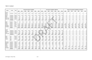# **Table I-5, Continued**

| Aquifer    | County    | <b>Basin</b>  |                 |             |             | <b>Revised Groundwater Availability</b> |          |             |                |              |             |              | <b>Groundwater Availability in 2006 Plan</b> |                |          |              |              |              |                      | Change in Groundwater Availability since 2006 Plan |              |              |              |
|------------|-----------|---------------|-----------------|-------------|-------------|-----------------------------------------|----------|-------------|----------------|--------------|-------------|--------------|----------------------------------------------|----------------|----------|--------------|--------------|--------------|----------------------|----------------------------------------------------|--------------|--------------|--------------|
|            |           |               | 2000            | 2010        | 2020        | 2030                                    | 2040     | 2050        | 2060           | 2000         | 2010        | 2020         | 2030                                         | 2040           | 2050     | 2060         | 2000         | 2010         | 2020                 | 2030                                               | 2040         | 2050         | 2060         |
| Carrizo-   |           |               |                 |             |             |                                         |          |             |                |              |             |              |                                              |                |          |              |              |              |                      |                                                    |              |              |              |
| Wilcox     | Freestone | Trinity       | 5,578           | 5,578       | 5,578       | 5,578                                   | 5,578    | 5,578       | 5,578          | 5,578        | 5,578       | 5,578        | 5,578                                        | 5,578          | 5,578    | 5,578        | $\mathbf 0$  | $\Omega$     | $\Omega$             | $\Omega$                                           | $\Omega$     |              | $\mathbf 0$  |
| Carrizo-   |           |               |                 |             |             |                                         |          |             |                |              |             |              |                                              |                |          |              |              |              |                      |                                                    |              |              |              |
| Wilcox     | Freestone | <b>Brazos</b> | 1,075           | 1,075       | 1,075       | 1,075                                   | 1,075    | 1,075       | 1,075          | 1,075        | 1,075       | 1,075        | 1,075                                        | 1,075          | 1,075    | 1,075        | $\Omega$     | $\Omega$     | $\Omega$             | $\Omega$                                           | $\Omega$     |              | 0            |
| Other      | Freestone | Trinity       | 51              | 51          | 51          | 51                                      | 51       | 51          | 51             | 51           | 51          | 51           | 51                                           | 51             | 51       | 51           | $\mathbf 0$  | $\Omega$     | $\Omega$             | $\Omega$                                           | $\Omega$     | $\Omega$     | 0            |
| Other      | Freestone | <b>Brazos</b> | 21              | 21          | 21          | 21                                      | 21       | 21          | 21             | 21           | 21          | 21           | 21                                           | 21             | 21       | 21           | $\Omega$     | $\Omega$     | $\Omega$             | $\Omega$                                           | $\Omega$     | $\Omega$     | $\mathbf{0}$ |
| Queen City | Freestone | Trinity       | 345             | 345         | 345         | 345                                     | 345      | 345         | 345            | 345          | 345         | 345          | 345                                          | 345            | 345      | 345          | $\Omega$     | $\Omega$     | $\Omega$<br>$\Omega$ | $\Omega$                                           | $\Omega$     | $\Omega$     | $\mathbf 0$  |
| Queen City | Freestone | <b>Brazos</b> | 48              | 48          | 48          | 48                                      | 48       | 48          | 48             | 48           | 48          | 48           | 48                                           | 48             | 48       | 48           | $\Omega$     | $\Omega$     | $\mathbf 0$          | $\Omega$<br>$\mathbf{0}$                           | $\Omega$     | $\Omega$     | $\mathbf 0$  |
|            | Freestone |               | 7,118           | 7,118       | 7,118       | 7,118                                   | 7,118    | 7,118       | 7,118          | 7,118        | 7,118       | 7,118        | 7,118                                        | 7,118          | 7,118    | 7,118        | $\mathbf{0}$ | $\mathbf{0}$ |                      |                                                    | $\mathbf 0$  | $\mathbf{0}$ | $\mathbf 0$  |
| Other      | Grayson   | Red           | 35              | 35          | 35          | 35                                      | 35       | 35          | 35             | 35           | 35          | 35           | 35                                           | 35             | 35       | 35           | $\mathbf 0$  | $\mathbf 0$  | $\Omega$             | $\Omega$                                           | $\mathbf{0}$ | $\Omega$     | $\mathbf{0}$ |
| Other      | Grayson   | Trinity       | $\mathbf{0}$    | $\mathbf 0$ | $\mathbf 0$ | $\mathbf 0$                             | $\Omega$ | $\mathbf 0$ | $\overline{0}$ | $\mathbf 0$  | $\mathbf 0$ | $\Omega$     | $\mathbf 0$                                  | $\overline{0}$ | $\Omega$ | $\mathbf 0$  | $\mathbf 0$  | $\mathbf 0$  | $\Omega$             | $\Omega$                                           | $\Omega$     | $\Omega$     | 0            |
| Trinity    | Grayson   | Red           | 7,722           | 7,722       | 7,722       | 7,722                                   | 7,722    | 7,722       | 7,722          | 6,700        | 6,797       | 6,849        | 6,875                                        | 6,890          | 6,900    | 6,901        | 1,022        | 925          | 873                  | 847                                                | 832          | 822          | 821          |
| Trinity    | Grayson   | Trinity       | 1,678           | 1,678       | 1,678       | 1,678                                   | 1,678    | 1,678       | 1,678          | 2,700        | 2,603       | 2,552        | 2,525                                        | 2,510          | 2,500    | 2,499        | (1,022)      | (925)        | (874)                | (847)                                              | (832)        | (822)        | (821)        |
| Woodbine   | Grayson   | Red           | 6,590           | 6,590       | 6,590       | 6,590                                   | 6,590    | 6,590       | 6,590          | 6,380        | 6,310       | 6,288        | 6,277                                        | 6,272          | 6,267    | 6,265        | 210          | 280          | 302                  | 313                                                | 318          | 323          | 325          |
| Woodbine   | Grayson   | Trinity       | 5,497           | 5,497       | 5,497       | 5,497                                   | 5,497    | 5,497       | 5,497          | 5,720        | 5,790       | 5,812        | 5,823                                        | 5,828          | 5,833    | 5,835        | (223)        | (293)        | (315)                | (326)                                              | (331)        | (336)        | (338)        |
|            | Grayson   |               | 21,522          | 21,522      | 21,522      | 21,522                                  | 21,522   | 21,522      | 21,522         | 21,535       | 21,535      | 21,536       | 21,535                                       | 21,535         | 21,535   | 21,535       | (13)         | (13)         | (14)                 | (13)                                               | (13)         | (13)         | (13)         |
|            |           |               |                 |             |             |                                         |          |             |                |              |             |              |                                              |                |          |              |              |              |                      |                                                    |              |              |              |
| Carrizo-   |           |               |                 |             |             |                                         |          |             |                |              |             |              |                                              |                |          |              |              |              |                      |                                                    |              |              |              |
| Wilcox     | Henderson | Trinity       | 5,370           | 5,370       | 5,370       | 5,370                                   | 5,370    | 5,370       | 5,370          | 5,370        | 5,370       | 5,370        | 5,370                                        | 5,370          | 5,370    | 5,370        | $\mathbf 0$  | 0            | $\mathbf 0$          | $\mathbf 0$                                        | 0            |              | 0            |
| Nacatoch   | Henderson | Trinity       | 10              | 10          | 10          | 10                                      | 10       | 10          | 10             | 10           | 10          | 10           | 10                                           | 10             | 10       | 10           | $\Omega$     | $\Omega$     | $\Omega$             | $\Omega$                                           | $\mathbf 0$  | $\Omega$     | $\mathbf{0}$ |
| Other      | Henderson | Trinity       | 167             | 167         | 167         | 167                                     | 167      | 167         | 167            | 167          | 167         | 167          | 167                                          | 167            | 167      | 167          | $\mathbf 0$  | $\Omega$     | $\Omega$             | $\Omega$                                           | $\Omega$     | $\Omega$     | $\mathbf{0}$ |
| Queen City | Henderson | Trinity       | 480             | 480         | 480         | 480                                     | 480      | 480         | 480            | 480          | 480         | 480          | 480                                          | 480            | 480      | 480          | $\Omega$     | $\Omega$     | $\Omega$             | $\Omega$                                           | $\Omega$     |              | 0            |
|            | Henderson |               | 6,027           | 6,027       | 6,027       | 6,027                                   | 6,027    | 6,027       | 6,027          | 6,027        | 6,027       | 6,027        | 6,027                                        | 6,027          | 6,027    | 6,027        | $\mathbf{0}$ | $\mathbf{0}$ | $\mathbf{0}$         | $\mathbf{0}$                                       | $\mathbf 0$  | $\mathbf{0}$ | $\mathbf 0$  |
|            |           |               |                 |             |             |                                         |          |             |                |              |             |              |                                              |                |          |              |              |              |                      |                                                    |              |              |              |
| Other      | Jack      | <b>Brazos</b> | 284             | 284         | 284         | 284                                     | 284      | 284         | 284            | 284          | 284         | 284          | 284                                          | 284            | 284      | 284          | $\mathbf 0$  | $\mathbf 0$  | $\Omega$             | $\Omega$                                           | 0            | $\mathbf{0}$ | 0            |
| Other      | Jack      | Trinity       | 650             | 650         | 650         | 650                                     | 650      | 650         | 650            | 650          | 650         | 650          | 650                                          | 650            | 650      | 650          | $\Omega$     | $\Omega$     | $\Omega$             | $\Omega$                                           | $\mathbf 0$  | $\Omega$     | $\mathbf 0$  |
| Trinity    | Jack      | Trinity       | 50              | 50          | 50          | 50                                      | 50       | 50          | 50             | 50           | 50          | 50           | 50                                           | 50             | 50       | 50           | $\mathbf 0$  | $\mathbf 0$  | $\mathbf{0}$         | $\mathbf{0}$                                       | $\mathbf 0$  | $\Omega$     | $\mathbf 0$  |
| Trinity    | Jack      | <b>Brazos</b> | 50              | 50          | 50          | 50                                      | 50       | 50          | 50             | 50           | 50          | 50           | 50                                           | 50             | 50       | 50           | $\mathbf{0}$ | $\Omega$     | $\Omega$             | $\Omega$                                           | $\mathbf 0$  | $\Omega$     | $\mathbf{0}$ |
|            | Jack      |               | 1,034           | 1,034       | 1,034       | 1,034                                   | 1,034    | 1,034       | 1,034          | 1,034        | 1,034       | 1,034        | 1,034                                        | 1,034          | 1,034    | 1,034        | $\mathbf{0}$ | $\mathbf{0}$ | $\mathbf{0}$         | $\mathbf{0}$                                       | $\mathbf{0}$ | 0            | $\mathbf 0$  |
|            |           |               |                 |             |             |                                         |          |             |                |              |             |              |                                              |                |          |              |              |              |                      |                                                    |              |              |              |
| Nacatoch   | Kaufman   | Sabine        | 10 <sup>°</sup> | 10          | 10          | 10                                      | 10       | 10          | 10             | 10           | 10          | 10           | 10                                           | 10             | 10       | 10           | 0            | $\mathbf 0$  | $\mathbf 0$          | $\mathbf 0$                                        | 0            | 0            | 0            |
| Nacatoch   | Kaufman   | Trinity       | 308             | 308         | 308         | 308                                     | 308      | 308         | 308            | 308          | 308         | 308          | 308                                          | 308            | 308      | 308          | $\mathbf 0$  | $\mathbf 0$  | 0                    | $\boldsymbol{0}$                                   | $\bf{0}$     | $\mathbf 0$  | $\mathbf 0$  |
| Other      | Kaufman   | Sabine        | 124             | 124         | 124         | 124                                     | 124      | 124         | 124            | 124          | 124         | 124          | 124                                          | 124            | 124      | 124          | $\mathbf{0}$ | 0            | 0                    | 0                                                  | 0            | $\mathbf{0}$ | $\mathbf 0$  |
| Other      | Kaufman   | Trinity       | 87              | 87          | 87          | 87                                      | 87       | 87          | 87             | 87           | 87          | 87           | 87                                           | 87             | 87       | 87           | $\mathbf{0}$ | $\mathbf{0}$ |                      | 0                                                  | 0            | 0            | $\mathbf{0}$ |
| Trinity    | Kaufman   | Sabine        | 45              | 45          | 45          | 45                                      | 45       | 45          | 45             | $\mathbf{0}$ | $\mathbf 0$ | $\mathbf 0$  | $\mathbf 0$                                  | $\mathbf{0}$   | 0        | $\mathbf{0}$ | 45           | 45           | 45                   | 45                                                 | 45           | 45           | 45           |
| Trinity    | Kaufman   | Trinity       | 1,136           | 1,136       | 1,136       | 1,136                                   | 1,136    | 1,136       | 1,136          | $\mathbf{0}$ | 0           | $\mathbf{0}$ | $\mathbf{0}$                                 | $\mathbf{0}$   | 0        | $\mathbf 0$  | 1,136        | 1,136        | 1,136                | 1,136                                              | 1,136        | 1,136        | 1,136        |
| Woodbine   | Kaufman   | Trinity       | 200             | 200         | 200         | 200                                     | 200      | 200         | 200            | 200          | 200         | 200          | 200                                          | 200            | 200      | 200          | $\mathbf{0}$ | $\mathbf 0$  | $\mathbf 0$          | $\mathbf 0$                                        | $\mathbf 0$  | $\mathbf{0}$ | $\mathbf{0}$ |
|            | Kaufman   |               | 1,910           | 1,910       | 1,910       | 1,910                                   | 1,910    | 1,910       | 1,910          | 729          | 729         | 729          | 729                                          | 729            | 729      | 729          | 1,181        | 1,181        | 1,181                | 1,181                                              | 1,181        | 1,181        | 1,181        |
|            |           |               |                 |             |             |                                         |          |             |                |              |             |              |                                              |                |          |              |              |              |                      |                                                    |              |              |              |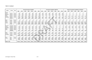# **Table I-5, Continued**

| <b>Aquifer</b>        | County         | <b>Basin</b>  |             |             |             | <b>Revised Groundwater Availability</b> |             |              |             |              |                |              | Groundwater Availability in 2006 Plan |              |              |              |              |              |              |                | Change in Groundwater Availability since 2006 Plan |          |             |
|-----------------------|----------------|---------------|-------------|-------------|-------------|-----------------------------------------|-------------|--------------|-------------|--------------|----------------|--------------|---------------------------------------|--------------|--------------|--------------|--------------|--------------|--------------|----------------|----------------------------------------------------|----------|-------------|
|                       |                |               | 2000        | 2010        | 2020        | 2030                                    | 2040        | 2050         | 2060        | 2000         | 2010           | 2020         | 2030                                  | 2040         | 2050         | 2060         | 2000         | 2010         | 2020         | 2030           | 2040                                               | 2050     | 2060        |
| Carrizo-              |                |               |             |             |             |                                         |             |              |             |              |                |              |                                       |              |              |              |              |              |              |                |                                                    |          |             |
| Wilcox                | Navarro        | Trinity       | 180         | 180         | 180         | 180                                     | 180         | 180          | 180         | 180          | 180            | 180          | 180                                   | 180          | 180          | 180          | $\Omega$     | $\Omega$     | $\Omega$     | $\Omega$       | $\Omega$                                           | $\Omega$ | $\Omega$    |
| Nacatoch              | Navarro        | Trinity       | 229         | 229         | 229         | 229                                     | 229         | 229          | 229         | 229          | 229            | 229          | 229                                   | 229          | 229          | 229          | $\Omega$     | $\Omega$     | $\Omega$     | $\Omega$       | $\mathbf 0$                                        | O        | $\Omega$    |
| Other                 | Navarro        | Trinity       | 104         | 104         | 104         | 104                                     | 104         | 104          | 104         | 104          | 104            | 104          | 104                                   | 104          | 104          | 104          | $\Omega$     | $\Omega$     | $\Omega$     | $\Omega$       | $\Omega$                                           | $\Omega$ | $\Omega$    |
| Trinity               | Navarro        | Trinity       | 1,873       | 1,873       | 1,873       | 1,873                                   | 1,873       | 1,873        | 1,873       | 0            | $\mathbf 0$    | $\mathbf 0$  | $\Omega$                              | $\mathbf 0$  | $\mathbf 0$  | $\Omega$     | 1,873        | 1,873        | 1,873        | 1,873          | 1,873                                              | 1,873    | 1,873       |
| Woodbine              | Navarro        | Trinity       | 300         | 300         | 300         | 300                                     | 300         | 300          | 300         | 300          | 300            | 300          | 300                                   | 300          | 300          | 300          | $\mathbf 0$  | $\mathbf 0$  | $\Omega$     | $\Omega$       | $\Omega$                                           | $\Omega$ | $\Omega$    |
|                       | <b>Navarro</b> |               | 2,686       | 2,686       | 2,686       | 2,686                                   | 2,686       | 2,686        | 2,686       | 813          | 813            | 813          | 813                                   | 813          | 813          | 813          | 1,873        | 1,873        | 1,873        | 1,873          | 1,873                                              | 1,873    | 1,873       |
|                       |                |               |             |             |             |                                         |             |              |             |              |                |              |                                       |              |              |              |              |              |              |                |                                                    |          |             |
| Other                 | Parker         | Trinity       | $\mathbf 0$ | $\mathbf 0$ | $\mathbf 0$ | $\mathbf 0$                             | $\mathbf 0$ | $\mathbf 0$  | $\mathbf 0$ | $\mathbf 0$  | $\mathbf 0$    | $\Omega$     | $\overline{0}$                        | $\mathbf 0$  | $\mathbf 0$  | $\mathbf 0$  | $\mathbf 0$  | $\mathbf 0$  | $\mathbf 0$  | $\Omega$       | $\mathbf 0$                                        | $\Omega$ | $\mathbf 0$ |
| Other                 | Parker         | <b>Brazos</b> | 50          | 50          | 50          | 50                                      | 50          | 50           | 50          | 50           | 50             | 50           | 50                                    | 50           | 50           | 50           | $\Omega$     | $\Omega$     | $\Omega$     | $\Omega$       | $\Omega$                                           | $\Omega$ | $\Omega$    |
| Trinitv               | Parker         | Trinity       | 12,449      | 12,449      | 12,449      | 12,449                                  | 12,449      | 12,449       | 12,449      | 2,100        | 2,100          | 2,255        | 2,300                                 | 2,300        | 2,300        | 2,300        | 10,349       | 10,349       | 10,194       | 10,149         | 10,149                                             | 10,149   | 10,149      |
| Trinity               | Parker         | <b>Brazos</b> | 2,799       | 2,799       | 2,799       | 2,799                                   | 2,799       | 2,799        | 2,799       | 4,900        | 4,900          | 4,745        | 4,700                                 | 4,700        | 4,700        | 4,700        | (2, 101)     | (2, 101)     | (1,946)      | (1,901)        | (1, 901)                                           | (1,901)  | (1,901)     |
|                       | Parker         |               | 15,298      | 15,298      | 15,298      | 15,298                                  | 15,298      | 15,298       | 15,298      | 7,050        | 7,050          | 7,050        | 7,050                                 | 7,050        | 7,050        | 7,050        | 8,248        | 8,248        | 8,248        | 8,248          | 8,248                                              | 8,248    | 8,248       |
|                       |                |               |             |             |             |                                         |             |              |             |              |                |              |                                       |              |              |              |              |              |              |                |                                                    |          |             |
| Nacatoch              | Rockwal        | Trinity       | 1           | 1           | 1           | 1                                       | 1           | $\mathbf{1}$ | 1           | $\mathbf{1}$ | $\mathbf{1}$   | $\mathbf{1}$ | $\mathbf{1}$                          | $\mathbf{1}$ | $\mathbf{1}$ | $\mathbf{1}$ | $\Omega$     | $\mathbf{0}$ | $\Omega$     | $\Omega$       | $\Omega$                                           | $\Omega$ | $\Omega$    |
| Trinity               | Rockwal        | Trinity       | 958         | 958         | 958         | 958                                     | 958         | 958          | 958         | $0^{\circ}$  | $\overline{0}$ | $\Omega$     | $\Omega$                              | $\mathbf 0$  | $\Omega$     | $\mathbf 0$  | 958          | 958          | 958          | 958            | 958                                                | 958      | 958         |
| Woodbine              | Rockwal        | Trinity       | 144         | 144         | 144         | 144                                     | 144         | 144          | 144         | $\Omega$     | $\Omega$       | $\Omega$     | $\Omega$                              | $\Omega$     | $\Omega$     | $\mathbf{0}$ | 144          | 144          | 144          | 144            | 144                                                | 144      | 144         |
| Other                 | Rockwal        | Sabine        | 187         | 187         | 187         | 187                                     | 187         | 187          | 187         | 187          | 187            | 187          | 187                                   | 187          | 187          | 187          | $\Omega$     | $\Omega$     | $\Omega$     | $\Omega$       | $\mathbf 0$                                        | $\Omega$ | $\mathbf 0$ |
| Other                 | Rockwall       | Trinity       | 21          | 21          | 21          | 21                                      | 21          | 21           | 21          | 21           | 21             | 21           | 21                                    | 21           | 21           | 21           | $\Omega$     | $\Omega$     | $\Omega$     | $\Omega$       | $\Omega$                                           | $\Omega$ | $\mathbf 0$ |
|                       | Rockwall       |               | 1,311       | 1,311       | 1,311       | 1,311                                   | 1,311       | 1,311        | 1,311       | 209          | 209            | 209          | 209                                   | 209          | 209          | 209          | 1,102        | 1,102        | 1,102        | 1,102          | 1,102                                              | 1,102    | 1,102       |
|                       |                |               |             |             |             |                                         |             |              |             |              |                |              |                                       |              |              |              |              |              |              |                |                                                    |          |             |
| Other                 | Tarrant        | Trinity       | 207         | 207         | 207         | 207                                     | 207         | 207          | 207         | 207          | 207            | 207          | 207                                   | 207          | 207          | 207          | $\mathbf 0$  | $\Omega$     | $\Omega$     | $\overline{0}$ | $\mathbf 0$                                        | $\Omega$ | $\mathbf 0$ |
| Trinity               | Tarrant        | Trinity       | 18,747      | 18,747      | 18,747      | 18,747                                  | 18,747      | 18,747       | 18,747      | 9,200        | 9,200          | 9,200        | 9,200                                 | 9,200        | 9,200        | 9,200        | 9,547        | 9,547        | 9,547        | 9,547          | 9,547                                              | 9,547    | 9,547       |
| Woodbine              | Tarrant        | Trinity       | 632         | 632         | 632         | 632                                     | 632         | 632          | 632         | $\Omega$     | $\Omega$       | $\Omega$     | $\Omega$                              | $\mathbf{0}$ | $\Omega$     | $\Omega$     | 632          | 632          | 632          | 632            | 632                                                | 632      | 632         |
|                       | <b>Tarrant</b> |               | 19,586      | 19,586      | 19,586      | 19,586                                  | 19,586      | 19,586       | 19,586      | 9,407        | 9,407          | 9,407        | 9,407                                 | 9,407        | 9,407        | 9,407        | 10,179       | 10,179       | 10,179       | 10,179         | 10,179                                             | 10,179   | 10,179      |
|                       |                |               |             |             |             |                                         |             |              |             |              |                |              |                                       |              |              |              |              |              |              |                |                                                    |          |             |
| Other                 | Wise           | Trinity       | 106         | 106         | 106         | 106                                     | 106         | 106          | 106         | 106          | 106            | 106          | 106                                   | 106          | 106          | 106          | $\mathbf{0}$ | $\Omega$     | $\mathbf{0}$ | $\Omega$       | $\mathbf 0$                                        | $\Omega$ | $\Omega$    |
| Trinity               | Wise           | Trinity       | 9,282       | 9,282       | 9,282       | 9,282                                   | 9,282       | 9,282        | 9,282       | 4.400        | 4,400          | 4,400        | 4.400                                 | 4,400        | 4,400        | 4,400        | 4,882        | 4,882        | 4,882        | 4,882          | 4,882                                              | 4,882    | 4,882       |
|                       | <b>Wise</b>    |               | 9,388       | 9,388       | 9,388       | 9,388                                   | 9,388       | 9,388        | 9,388       | 4,506        | 4,506          | 4,506        | 4,506                                 | 4,506        | 4,506        | 4,506        | 4,882        | 4,882        | 4,882        | 4,882          | 4,882                                              | 4,882    | 4,882       |
|                       |                |               |             |             |             |                                         |             |              |             |              |                |              |                                       |              |              |              |              |              |              |                |                                                    |          |             |
| <b>Region C Total</b> |                |               | 146.152     | 146.152     | 146.152     | 146,152                                 | 146,152     | 146,152      | 146,152     | 106,460      | 106,460        | 106,460      | 106.460                               | 106,460      | 106.460      | 106,460      | 39,692       | 39,692       | 39,692       | 39,692         | 39,692                                             | 39,692   | 39,692      |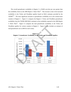The overall groundwater availability in Region C is 39,692 acre-feet per year greater than the availability shown in the 2006 *Region C Water Plan*(1). This increase is due to the increased availability in the Trinity and Woodbine aquifers based on MAG estimates provided by the TWDB $<sup>(4,5)</sup>$ . The most significant increases to groundwater availability are in the western-most</sup> counties of Region C. Figure I-1 compares the Region C Trinity and Woodbine groundwater availability from the TWDB 2009 MAG estimates to the availability reported in the 2006 *Region C* Water Plan<sup>(1)</sup>. Figure I-2 compares the total groundwater availability in the Trinity and Woodbine aquifers for various counties in Region C. Figure I-2 also includes an estimate of total groundwater use in 2004 for each county.



**Figure I-1 Region C Groundwater Availability in the Trinity and Woodbine Aquifers**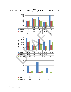**Figure I-2 Region C Groundwater Availability by County in the Trinity and Woodbine Aquifers** 



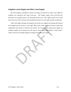# *Irrigation Local Supply and Other Local Supply*

The local irrigation availability is based on existing run-of-the-river surface water rights for irrigation not associated with major reservoirs. The reliable supply from run-of-the-river diversions was assumed equal to the permitted diversion for water rights located on the main stem of the river and 75 percent of the permitted diversion for water rights located on tributaries.

Other local supply includes non-irrigation run-of-the-river supplies and mining and livestock local supplies that do not have a water right. Most surface water used for livestock is taken from unpermitted stock ponds or directly from streams. For livestock and mining local supply, the available supplies were assumed to be the same as shown in the 2006 *Region C Water Plan*<sup>(1)</sup>. Table I-6 shows the available supply for irrigation and other local supply. s that do not have a water right. Most surface water used for livestock<br>stock ponds or directly from streams. For livestock and mining local<br>oplies were assumed to be the same as shown in the 2006 *Region C* l<br>ows the avai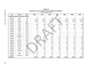| <b>Use</b>      | County                                      | <b>Basin</b>  | 2000        | 2010           | 2020           | 2030           | 2040        | 2050             | 2060        |
|-----------------|---------------------------------------------|---------------|-------------|----------------|----------------|----------------|-------------|------------------|-------------|
|                 | <b>IRRIGATION RUN-OF-THE-RIVER SUPPLIES</b> |               |             |                |                |                |             |                  |             |
| Irrigation      | Cooke                                       | Red           | 23          | 23             | 23             | 23             | 23          | 23               | 23          |
| Irrigation      | Fannin                                      | Red           | 14,758      | 14,758         | 14,758         | 14,758         | 14,758      | 14,758           | 14,758      |
| Irrigation      | Grayson                                     | Red           | 2,394       | 2,394          | 2,394          | 2,394          | 2,394       | 2,394            | 2,394       |
| Irrigation      | Fannin                                      | Sulphur       | 0           | 0              | 0              | $\overline{0}$ | $\mathbf 0$ | $\boldsymbol{0}$ | $\mathbf 0$ |
| Irrigation      | Collin                                      | Trinity       | 408         | 408            | 408            | 408            | 408         | 408              | 408         |
| Irrigation      | Cooke                                       | Trinity       | $\mathbf 0$ | $\mathbf 0$    | $\mathbf{0}$   | $\mathbf 0$    | 0           | $\mathbf 0$      | 0           |
| Irrigation      | Dallas                                      | Trinity       | 791         | 791            | 791            | 791            | 791         | 791              | 791         |
| Irrigation      | Denton                                      | Trinity       | 0           | $\bf{0}$       | $\mathbf 0$    | 0              | 0           | 0                | 0           |
| Irrigation      | <b>Ellis</b>                                | Trinity       | 3           | $\overline{3}$ | 3              | 3              | 3           | 3                | 3           |
| Irrigation      | Fannin                                      | Trinity       | 0           | $\bf{0}$       | $\mathbf{0}$   | 0              | $\mathbf 0$ | $\pmb{0}$        | $\pmb{0}$   |
| Irrigation      | Grayson                                     | Trinity       | 0           | $\mathbf{0}$   | $\overline{0}$ | 0              | 0           | 0                | $\mathbf 0$ |
| Irrigation      | Henderson                                   | Trinity       | 415         | 415            | 415            | 415            | 415         | 415              | 415         |
| Irrigation      | Jack                                        | Trinity       | 110         | 110            | 110            | 110            | 110         | 110              | 110         |
| Irrigation      | Kaufman                                     | Trinity       | 64          | 64             | 64             | 64             | 64          | 64               | 64          |
| Irrigation      | Navarro                                     | Trinity       | 226         | 226            | 226            | 226            | 226         | 226              | 226         |
| Irrigation      | Parker                                      | Trinity       | 122         | 122            | 122            | 122            | 122         | 122              | 122         |
| Irrigation      | Rockwall                                    | Trinity       | $\mathbf 0$ | $\mathbf 0$    | $\Omega$       | $\Omega$       | $\Omega$    | $\mathbf 0$      | $\mathbf 0$ |
| Irrigation      | Tarrant                                     | Trinity       | 549         | 549            | 549            | 549            | 549         | 549              | 549         |
| Irrigation      | Wise                                        | Trinity       | 139         | 139            | 139            | 139            | 139         | 139              | 139         |
| Irrigation      | Freestone                                   | Trinity       | 87          | 87             | 87             | 87             | 87          | 87               | 87          |
| Irrigation      | Jack                                        | <b>Brazos</b> | 0           | $\mathbf 0$    | $\Omega$       | 0              | $\Omega$    | $\boldsymbol{0}$ | $\Omega$    |
| Irrigation      | Parker                                      | <b>Brazos</b> | 117         | 117            | 117            | 117            | 117         | 117              | 117         |
| Irrigation      | Freestone                                   | Brazos        | $\mathbf 0$ | 0              | $\Omega$       | 0              | $\mathbf 0$ | $\mathbf 0$      | $\Omega$    |
| <b>SUBTOTAL</b> |                                             |               | 20,205      | 20,205         | 20,205         | 20,205         | 20,205      | 20,205           | 20,205      |

**Table I-6 Summary of Local Surface Water Supplies for Region C (Acre-Feet per Year)**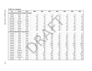| <b>Use</b> | County                                   | <b>Basin</b>  | 2000  | 2010  | 2020  | 2030  | 2040  | 2050  | 2060  |
|------------|------------------------------------------|---------------|-------|-------|-------|-------|-------|-------|-------|
|            | NON-IRRIGATION RUN-OF-THE-RIVER SUPPLIES |               |       |       |       |       |       |       |       |
| Mining     | Fannin                                   | Red           | 72    | 72    | 72    | 72    | 72    | 72    | 72    |
| Mining     | Wise                                     | Trinity       | 133   | 133   | 133   | 133   | 133   | 133   | 133   |
| Municipal  | Fannin                                   | Red           | 20    | 20    | 20    | 20    | 20    | 20    | 20    |
| Municipal  | Fannin                                   | Sulphur       | 49    | 49    | 49    | 49    | 49    | 49    | 49    |
| Municipal  | Freestone                                | Trinity       | 41    | 41    | 41    | 41    | 41    | 41    | 41    |
| Municipal  | Navarro                                  | Trinity       | 252   | 252   | 252   | 252   | 252   | 252   | 252   |
| Municipal  | Parker                                   | Trinity       | 33    | 33    | 33    | 33    | 33    | 33    | 33    |
| Industrial | Dallas                                   | Trinity       | 368   | 368   | 368   | 368   | 368   | 368   | 368   |
| Industrial | Grayson                                  | Red           | 30    | 30    | 30    | 30    | 30    | 30    | 30    |
| Industrial | Tarrant                                  | Trinity       | 959   | 959   | 959   | 959   | 959   | 959   | 959   |
|            | LIVESTOCK AND MINING LOCAL SUPPLIES      |               |       |       |       |       |       |       |       |
| Livestock  | Collin                                   | Sabine        | 31    | 31    | 31    | 31    | 31    | 31    | 31    |
| Livestock  | Collin                                   | Trinity       | 971   | 971   | 971   | 971   | 971   | 971   | 971   |
| Livestock  | Cooke                                    | Red           | 380   | 380   | 380   | 380   | 380   | 380   | 380   |
| Livestock  | Cooke                                    | Trinity       | 807   | 807   | 807   | 807   | 807   | 807   | 807   |
| Livestock  | <b>Dallas</b>                            | Trinity       | 712   | 712   | 712   | 712   | 712   | 712   | 712   |
| Livestock  | Denton                                   | Trinity       | 935   | 935   | 935   | 935   | 935   | 935   | 935   |
| Livestock  | Ellis                                    | Trinity       | 1,688 | 1,688 | 1,688 | 1,688 | 1,688 | 1,688 | 1,688 |
| Livestock  | Fannin                                   | Red           | 1,139 | 1,139 | 1,139 | 1,139 | 1,139 | 1,139 | 1,139 |
| Livestock  | Fannin                                   | Sulphur       | 364   | 364   | 364   | 364   | 364   | 364   | 364   |
| Livestock  | Fannin                                   | Trinity       | 80    | 80    | 80    | 80    | 80    | 80    | 80    |
| Livestock  | Freestone                                | <b>Brazos</b> | 83    | 83    | 83    | 83    | 83    | 83    | 83    |
| Livestock  | Freestone                                | Trinity       | 960   | 960   | 960   | 960   | 960   | 960   | 960   |
| Livestock  | Grayson                                  | Red           | 1,077 | 1,077 | 1,077 | 1,077 | 1,077 | 1,077 | 1,077 |
| Livestock  | Grayson                                  | Trinity       | 606   | 606   | 606   | 606   | 606   | 606   | 606   |
| Livestock  | Henderson                                | Trinity       | 341   | 341   | 341   | 341   | 341   | 341   | 341   |
| Livestock  | Jack                                     | <b>Brazos</b> | 450   | 450   | 450   | 450   | 450   | 450   | 450   |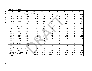| Use             | County                                  | <b>Basin</b>                                    | 2000   | 2010   | 2020   | 2030   | 2040   | 2050   | 2060   |
|-----------------|-----------------------------------------|-------------------------------------------------|--------|--------|--------|--------|--------|--------|--------|
|                 |                                         | LIVESTOCK AND MINING LOCAL SUPPLIES (Continued) |        |        |        |        |        |        |        |
| Livestock       | Jack                                    | Trinity                                         | 1,215  | 1,215  | 1,215  | 1,215  | 1,215  | 1,215  | 1,215  |
| Livestock       | Kaufman                                 | Sabine                                          | 98     | 98     | 98     | 98     | 98     | 98     | 98     |
| Livestock       | Kaufman                                 | Trinity                                         | 1,524  | 1,524  | 1,524  | 1,524  | 1,524  | 1,524  | 1,524  |
| Livestock       | Navarro                                 | Trinity                                         | 1,603  | 1,603  | 1,603  | 1,603  | 1,603  | 1,603  | 1,603  |
| Livestock       | Parker                                  | <b>Brazos</b>                                   | 903    | 903    | 903    | 903    | 903    | 903    | 903    |
| Livestock       | Parker                                  | Trinity                                         | 1,019  | 1,019  | 1,019  | 1,019  | 1,019  | 1,019  | 1,019  |
| Livestock       | Rockwall                                | Sabine                                          | 32     | 32     | 32     | 32     | 32     | 32     | 32     |
| Livestock       | Rockwall                                | Trinity                                         | 136    | 136    | 136    | 136    | 136    | 136    | 136    |
| Livestock       | Tarrant                                 | Trinity                                         | 442    | 442    | 442    | 442    | 442    | 442    | 442    |
| Livestock       | Wise                                    | Trinity                                         | 1,117  | 1,117  | 1,117  | 1,117  | 1,117  | 1,117  | 1,117  |
| Mining          | Collin                                  | Trinity                                         | 195    | 195    | 195    | 195    | 195    | 195    | 195    |
| Mining          | Cooke                                   | Red                                             | 77     | 77     | 77     | 77     | 77     | 77     | 77     |
| Mining          | Cooke                                   | Trinity                                         | 160    | 160    | 160    | 160    | 160    | 160    | 160    |
| Mining          | Dallas                                  | Trinity                                         | 1,525  | 1,525  | 1,525  | 1,525  | 1,525  | 1,525  | 1,525  |
| Mining          | Denton                                  | Trinity                                         | 103    | 103    | 103    | 103    | 103    | 103    | 103    |
| Mining          | Freestone                               | Trinity                                         | 66     | 66     | 66     | 66     | 66     | 66     | 66     |
| Mining          | Jack                                    | Trinity                                         | 370    | 370    | 370    | 370    | 370    | 370    | 370    |
| Mining          | Kaufman                                 | Trinity                                         | 75     | 75     | 75     | 75     | 75     | 75     | 75     |
| Mining          | Parker                                  | <b>Brazos</b>                                   | 17     | 17     | 17     | 17     | 17     | 17     | 17     |
| Mining          | Parker                                  | Trinity                                         | 3      | 3      | 3      | 3      | 3      | 3      | 3      |
| Mining          | Rockwall                                | <b>Sabine</b>                                   | 33     | 33     | 33     | 33     | 33     | 33     | 33     |
| Mining          | Tarrant                                 | Trinity                                         | 342    | 342    | 342    | 342    | 342    | 342    | 342    |
|                 | <b>SUBTOTAL NON-IRRIGATION SUPPLIES</b> |                                                 | 23,701 | 23,701 | 23,701 | 23,701 | 23,701 | 23,701 | 23,701 |
| <b>SUPPLIES</b> | TOTAL RUN-OF-THE-RIVER AND LOCAL        |                                                 | 43,906 | 43,906 | 43,906 | 43,906 | 43,906 | 43,906 | 43,906 |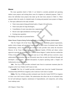## *Reuse*

The reuse quantities listed in Table I-1 are limited to currently permitted and operating indirect reuse projects and existing direct reuse for irrigation or industrial purposes. Table I-7 shows the individual reuse projects that make up the total reuse amount in Table I-1. These amounts reflect the results of a detailed study of existing and potential reuse projects in Region C. The topics addressed in the study included:

- Water reuse projects being performed under a Chapter 210 notification,
- Water reuse plans for large dischargers,
- Consolidation of water reuse plans into a regional plan
- Recent water right amendments involving reuse, and
- Existing reuse quantities

The findings of this study are presented below.

## Water Reuse Projects Being Performed Under a Chapter 210 Reuse Authorization

Title 30, Chapter 210 of the Texas Administrative Code establishes general requirements, quality criteria, design, and operational requirements for direct reuse of reclaimed water. Before implementing a direct reuse project, the reclaimed water provider must notify the Executive Director of the Texas Commission on Environmental Quality (TCEQ) and obtain written approval to provide the reclaimed water. Table I-8 shows Region C entities that have notified the TCEQ of their intent to provide reclaimed water (as of July 2009) and have received a reuse authorization. Authorization does not necessarily mean that an entity has followed through and developed a reuse project. Detailed descriptions of projects operating under a Chapter 210 Authorization are provided below. Freuse plans for large dischargers,<br>
colidation of water reuse plans into a regional plan<br>
Int water right amendments involving reuse, and<br>
ing reuse quantities<br>
of this study are presented below.<br>
See Projects Being Perfo

**Azle.** The City of Azle provides reclaimed water from its wastewater treatment plant for irrigation at the Cross Timbers Golf Course in Azle.

**Crandall.** The City of Crandall provides reclaimed water from the Crandall Wastewater Treatment Plant (WWTP) for irrigation at the Creekview Golf Club in Crandall.

**Dallas.** The City of Dallas provides reclaimed water from the Central WWTP for irrigation at Cedar Crest Golf Course in Dallas. The authorization also allows the use of reclaimed water for turf and landscape irrigation, maintenance of impoundments, soil compaction, and cooling tower makeup water.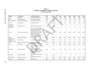|                                                     |                               |                                                                                                                                                                                                                                        | (Acre-Feet per Year) |             |       |        |        |        |        |  |
|-----------------------------------------------------|-------------------------------|----------------------------------------------------------------------------------------------------------------------------------------------------------------------------------------------------------------------------------------|----------------------|-------------|-------|--------|--------|--------|--------|--|
| Provider                                            | <b>Project Name</b>           | <b>User/Receiving Water</b>                                                                                                                                                                                                            | <b>Type</b>          | County      | 2010  | 2020   | 2030   | 2040   | 2050   |  |
| Azle                                                | Azle Reuse                    | <b>Cross Timbers Golf Course</b>                                                                                                                                                                                                       | Direct               | Tarrant     | 300   | 300    | 300    | 300    | 300    |  |
| Bryson                                              | Jack County Reuse             | Clayton Ranch Irrigation                                                                                                                                                                                                               | Direct               | <b>Jack</b> | 27    | 27     | 26     | 26     | 25     |  |
| Country Club WSC                                    | Country Club WSC Reuse        | Cedar Creek Country Club                                                                                                                                                                                                               | Direct               | Kaufman     | 92    | 92     | 92     | 92     | 92     |  |
| Crandall                                            | <b>Crandall Reuse</b>         | Creekview Golf Club                                                                                                                                                                                                                    | Direct               | Kaufman     | 484   | 666    | 666    | 666    | 666    |  |
| Deer Creek<br>Waterworks/<br><b>Willow Park</b>     | <b>Willow Park Reuse</b>      | Split Rails Links and Golf Club                                                                                                                                                                                                        | Direct               | Parker      | 11    | 11     | 11     | 11     | 11     |  |
| Denton                                              | Denton Power Plant Reuse      | City of Garland Steam Electric<br>Power Plant, Denton Regional<br>Medical Office Building,<br>Caruthers Oil Co. Inc., Robert<br>Donnelly, Day Surgery Center<br>DRMC, Denton Landfill,<br>Denton State School, Oakmont<br>Country Club | Direct               | Denton      | 1,233 | 2,242  | 2,690  | 3,251  | 3,924  |  |
| Denton                                              | Denton Indirect Reuse         | indirect reuse                                                                                                                                                                                                                         | Indirect             | Denton      | 1,682 | 2,130  | 2,915  | 3,475  | 4,372  |  |
| <b>Denton County</b><br>FWSD#1/<br>UTRWD/Lewisville | <b>UTRWD Reuse</b>            | Castle Hills Golf Course                                                                                                                                                                                                               | Direct               | Denton      | 897   | 897    | 897    | 897    | 897    |  |
| <b>DWU</b>                                          | Cedar Crest Golf Course Reuse | <b>Cedar Crest Golf Course</b>                                                                                                                                                                                                         | Direct               | Dallas      | 561   | 561    | 561    | 561    | 561    |  |
| Ennis                                               | <b>Ennis Reuse</b>            | <b>Tractabel Steam Electric Power</b><br>Plant                                                                                                                                                                                         | Direct               | Ellis       | 2,098 | 2,615  | 3,302  | 3,363  | 3,363  |  |
| Fort Worth                                          | Village Creek Reuse           | Waterchase Golf Course, DFW<br>Airport,<br>Euless, and Arlington for<br>general irrigation, golf course<br>irrigation, cooling water, park<br>irrigation, and natural gas<br>industry use.                                             | Direct               | Tarrant     | 897   | 897    | 897    | 897    | 897    |  |
| Gainesville                                         | Kenetso Park Reuse            | City of Gainesville - Keneteso<br>Park                                                                                                                                                                                                 | Direct               | Cooke       | 9     | 9      | 9      | 9      | 9      |  |
| Garland/Forney                                      | Garland/Forney Reuse          | FPLE Steam Electric Power<br>Plant                                                                                                                                                                                                     | Direct               | Kaufman     | 8,979 | 15,600 | 15,600 | 15,600 | 15,600 |  |
| Grapevine                                           | <b>Grapevine Reuse</b>        | Lake Grapevine                                                                                                                                                                                                                         | Indirect             | Tarrant     | 3,317 | 3,696  | 3,964  | 4,142  | 4,276  |  |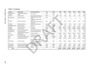| Provider                          | <b>Project Name</b>                                        | <b>User/Receiving Water</b>                                                                     | <b>Type</b>         | County        | 2010           | 2020           | 2030           | 2040           | 2050           | 2060    |
|-----------------------------------|------------------------------------------------------------|-------------------------------------------------------------------------------------------------|---------------------|---------------|----------------|----------------|----------------|----------------|----------------|---------|
| <b>Alcatel Network</b><br>Systems | <b>Alcatel Network Systems</b><br>Reuse                    | internal reuse                                                                                  | Direct              | Dallas        | 20             | 20             | 20             | 20             | 20             |         |
| Jacksboro                         | Jacksboro Reuse                                            | City of Jacksboro Golf Course                                                                   | Indirect            | Jack          | 385            | 385            | 385            | 385            | 385            |         |
| Millsap WWTP                      | Millsap ISD Reuse                                          | Millsap High School Athletic<br>Fields                                                          | Direct              | Parker        | $\overline{2}$ | $\overline{2}$ | $\overline{2}$ | $\overline{2}$ | $\overline{2}$ |         |
| <b>NTMWD</b>                      | <b>Rowlett Creek Reuse</b>                                 | Los Rios Country Club, Golf<br>Center of<br>Plano, Pecan Hollow Municipal<br><b>Golf Course</b> | direct              | Collin        | 1,540          | 1,540          | 1,540          | 1,540          | 1,540          | 1,540   |
| <b>NTMWD</b>                      | <b>Buffalo Creek Reuse</b>                                 | <b>Buffalo Creek Golf Course</b>                                                                | direct              | Rockwall      | 672            | 672            | 672            | 672            | 672            |         |
| NTMWD/Royse City                  | Royse City Reuse                                           | Aaki Golf                                                                                       | direct              | Rockwall      | 112            | 112            | 112            | 112            | 112            |         |
| <b>NTMWD</b>                      | <b>Wilson Creek Reuse</b>                                  | Lake Lavon                                                                                      | indirect            | N/A           | 50,000         | 60,941         | 71,882         | 71,882         | 71,882         | 71,882  |
| <b>NTMWD</b>                      | East Fork Reuse                                            | <b>Trinity River</b>                                                                            | indirect            | N/A           | 51,790         | 67,148         | 87,102         | 102,000        | 102,000        | 102,000 |
| NTMWD/Frisco                      | <b>Stewart Creek West Reuse</b>                            | Trails of Frisco Golf Course                                                                    | direct              | <b>Collin</b> | 307            | 307            | 307            | 307            | 307            |         |
| Pinnacle Club                     | Pinnacle Club Reuse                                        | Pinnacle Club Golf Course                                                                       | direct              | Henderson     | 32             | 32             | 32             | 32             | 32             |         |
| TRWD                              | <b>Richland Chambers Reservoir</b><br><b>Reuse Project</b> | <b>Richland Chambers</b>                                                                        | indirect.           | Navarro       | 16,800         | 16,800         | 16,800         | 16,800         | 16,800         | 16,800  |
| The Colony                        | <b>Collin County Reuse</b>                                 | Stonebriar Country Club                                                                         | direct              | Collin        | 380            | 380            | 380            | 380            | 380            |         |
| <b>TRA</b>                        | Ten Mile Creek WWTP Reuse                                  | Pecan Orchard                                                                                   | direct              | Dallas/Ellis  | 250            | 250            | 250            | 250            | 250            |         |
| <b>TRA</b>                        | TRA/Waxahachie Reuse                                       |                                                                                                 | indirect            | <b>Ellis</b>  | 4,998          | 5,129          | 5,129          | 5,129          | 5,129          |         |
| TRA/DCURD                         | Las Colinas Reuse                                          | Las Colinas - golf course<br>irrigation,<br>landscape irrigation, and lake<br>level maintenance | direct/<br>indirect | Dallas        | 8,000          | 8,000          | 8,000          | 8,000          | 8,000          |         |
| <b>Trophy Club</b>                | Denton County Golf Reuse                                   | <b>Trophy Club Country Club</b>                                                                 | direct              | Denton        | 800            | 800            | 800            | 800            | 800            |         |
| Weatherford                       | Weatherford Direct Reuse                                   | Crown Valley Country Club                                                                       | direct              | Parker        | 8,441          | 8,301          | 8,161          | 8,021          | 7,882          |         |
| <b>Wise County</b>                | Wise County Mining Reuse                                   | Mining                                                                                          | direct              | Wise          | 15,930         | 14,074         | 12,152         | 10,643         | 9,236          |         |
| Total                             |                                                            |                                                                                                 |                     |               | 181,046        | 214,636        | 245,656        | 260,265        | 260,422        | 261,011 |
|                                   |                                                            |                                                                                                 |                     |               |                |                |                |                |                |         |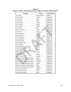| <b>Permittee</b>                     | County         | <b>Permit Number</b> |
|--------------------------------------|----------------|----------------------|
| City of Azle                         | Tarrant/Parker | Pending              |
| City of Crandall                     | Kaufman        | R10834-001           |
| City of Dallas                       | Dallas         | R10060-001           |
| City of Dallas                       | <b>Dallas</b>  | R10060-006           |
| City of Denison                      | Grayson        | R10079-005           |
| City of Denton                       | Denton         | R10027-003           |
| City of Denton                       | Denton         | R10027-004           |
| City of Ennis                        | <b>Ellis</b>   | R10443-002           |
| City of Fort Worth                   | Tarrant        | R10494-013           |
| City of Frisco                       | Collin         | R10172-003           |
| City of Gainesville                  | Cooke          | R10726-001           |
| City of Garland                      | Kaufman        | R10090-001           |
| City of Grapevine                    | <b>Tarrant</b> | R10486-002           |
| City of Lewisville                   | <b>Denton</b>  | R10662-001           |
| City of Royse City                   | Rockwall       | R10366-001           |
| City of Runaway Bay                  | Wise           | R10862-001           |
| City of Sanger                       | Denton         | R10271-001           |
| City of the Colony                   | Denton         | R11570-001           |
| City of Weatherford                  | Parker         | R10380-002           |
| City of Weatherford                  | Parker         | R14198-001           |
| Deer Creek Waterworks/               | Parker         | R13759-001/          |
| City of Willow Park                  |                | R13834-001           |
| Millsap ISD                          | Parker         | R13357-001           |
| Munson Point LTD                     | Grayson        | R14487-001           |
| North Texas Municipal Water District | Collin         | R10363-001           |
| North Texas Municipal Water District | Rockwall       | R11894-001           |
| North Texas Municipal Water District | Rockwall       | R12047-001           |
| North Texas Municipal Water District | Denton         | R14008-001           |
| North Texas Municipal Water District | Collin         | R14245-001           |
| North Texas Municipal Water District | Rockwall       | R14469-001           |
| Town of Flower Mound                 | Denton         | R11321-001           |
| <b>Trinity River Authority</b>       | Dallas         | R10303-001           |
| <b>Trinity River Authority</b>       | Dallas         | R10984-001           |

**Table I-8 Region C Entities That Have Received a Chapter 210 Reuse Authorization<sup>(6)</sup>**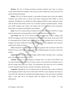**Denison.** The City of Denison previously provided reclaimed water from its Grayson County Airport WWTP for irrigation at the Grayson County College Golf Course; however, this project has been discontinued.

**Denton.** The City of Denton operates a non-potable reclaimed water system that supplies reclaimed water directly from its Pecan Creek Water Reclamation Plant (WRP) to several customers, including the City landfill, the Denton Regional Medical Center, Oakmont Country Club, the Denton State School, and the City of Garland's Spencer Generating Station. Primary uses include irrigation, dust control, and cooling water for steam electric power generation. Denton plans to expand its existing direct reuse program.

**Ennis.** The City of Ennis provides reclaimed water from its Oak Grove WWTP for cooling water for steam electric power generation at the Suez-Tractebel power plant in Ennis.

**Fort Worth.** The City of Fort Worth provides reclaimed water from its Village Creek WWTP for irrigation at the Links at Waterchase Golf Course in Fort Worth. By the end of 2010 it is anticipated that the Village Creek WWTP will also provide reclaimed water to the Cities of Arlington and Euless, Dallas-Fort Worth International Airport, and additional retail customers within the Fort Worth city limits. i irrigation, dust control, and cooling water for steam electric powers to expand its existing direct reuse program.<br>The City of Ennis provides reclaimed water from its Oak Grove WWT am electric power generation at the Sue

**Frisco.** Reclaimed water is provided for irrigation purposes from the Stewart Creek West WWTP in Frisco to the Trails of Frisco Golf Club. NTMWD operates the Stewart Creek West WWTP.

**Gainesville.** The City of Gainesville irrigates athletic fields at Keneteso Park, a municipal park, with reclaimed water from its WWTP.

**Garland.** The City of Garland produces reclaimed water at its Duck Creek WWTP. The City sells reclaimed water to the City of Forney, which in turn provides the reclaimed water to the FPL Energy power plant near Forney. The authorization also allows the use of reclaimed water for irrigation of golf courses, sod farms, silviculture, and food crops.

**Grapevine.** Although the City of Grapevine does use reclaimed water, it does so indirectly by discharging reclaimed water from its Peach Street WWTP to Lake Grapevine and using raw water from Lake Grapevine for municipal and irrigation purposes. This reuse project is permitted under a water right and is not operated under the authority of the Chapter 210 reuse authorization.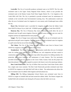**Lewisville.** The City of Lewisville produces reclaimed water at its WWTP. The City sells reclaimed water to the Upper Trinity Regional Water District, which in turn provides the reclaimed water to the Denton County Fresh Water Supply District No. 1 for irrigation at the Castle Hills Golf Club. The City is permitted to provide reclaimed water for maintenance of wetlands at the Lewisville Lake Environmental Learning Area. The authorization would also allow the use of reclaimed water for irrigation of a tree nursery and of landscaped areas within the city.

**Royse City.** Reclaimed water is provided for irrigation purposes from the Sabine Creek West WWTP in Royse City to Aaki Golf. NTMWD operates the Sabine Creek West WWTP.

**Runaway Bay.** The City of Runaway Bay reuse authorization would allow the use of reclaimed water for golf course irrigation. However, the golf course currently uses raw water for irrigation and has not implemented the reuse project.

**Sanger.** The City of Sanger reuse authorization would allow the use of reclaimed water for agricultural and golf course irrigation. The City intends to provide reclaimed water for irrigation at a golf course that has not yet been designed or constructed.

**The Colony.** The City of The Colony provides reclaimed water from its Stewart Creek WWTP for irrigation at Stonebriar Country Club in Frisco.

**Weatherford.** The City of Weatherford's authorization would allow the use of reclaimed water for cooling tower makeup water, gas industry use, soil compaction and dust control in construction areas, irrigation of animal feed crops (other than pastures for milking animals), fire protection, golf course irrigation, and maintenance of water features. The City previously provided reclaimed water for irrigation to the Crown Valley Country Club, but this project has been discontinued. The City may expand its system in the future to serve the natural gas industry. City. Reclaimed water is provided for irrigation purposes from the<br>
P in Royse City to Aaki Golf. NTMWD operates the Sabine Creek Westley Bay. The City of Runaway Bay reuse authorization would allo<br>
dater for golf course i

**Deer Creek Waterworks.** The City of Willow Park owns Deer Creek Water Works which has a single water reuse customer. The Deer Creek Waterworks provides reclaimed water from its WWTP for irrigation at the Split Rail Golf Links in Aledo. The authorization also allows the use of reclaimed water for athletic field irrigation and horticultural use.

**Millsap ISD.** The Millsap Independent School District uses reclaimed water from its WWTP to irrigate its football field and land around the athletic fields. The District irrigates the football field with reclaimed water during the off-season when the field is not in use.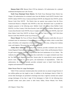**Munson Point LTD.** Munson Point LTD has obtained a 210 authorization for a planned residential development near Lake Texoma.

**North Texas Municipal Water District.** The North Texas Municipal Water District has Chapter 210 authorizations for reclaimed water from the Buffalo Creek WWTP, Rowlett Creek WWTP, Sabine WWTP, Frisco Cottonwood Branch WWTP, the Shepards Glen WWTP, and the Stewart Creek West WWTP. The District does not operate reuse projects from the Frisco Cottonwood Branch or Shepards Glen WWTPs at this time. Reclaimed water is provided for irrigation purposes to the following users: Buffalo Creek Golf Course (from Buffalo Creek WWTP), Los Rios Country Club (from Rowlett Creek WWTP), Pecan Hollow Municipal Golf Course (from Rowlett Creek WWTP), Soccer Complex (from Rowlett Creek WWTP), Aaki Golf (from Sabine Creek West WWTP via Royse City), and the Trails of Frisco Golf Club (from Stewart Creek West WWTP via the City of Frisco).

**Flower Mound.** The Town of Flower Mound's reuse authorization would allow the use of reclaimed water for maintenance of impoundments or natural water bodies, toilet or urinal flush water, silviculture, soil compaction or dust control in construction areas, cooling tower makeup water, and irrigation. This project has not been implemented.

**Trinity River Authority.** The Trinity River Authority provides reclaimed water from its Central Regional Wastewater System plant to the Dallas County Utility and Reclamation District for golf course irrigation, landscape irrigation, and lake level maintenance in Las Colinas. The Authority has also received an authorization that would allow it to supply reclaimed water from the Ten Mile Creek Regional Wastewater System plant for steam-electric power generation process water, irrigation of a pecan grove, and maintenance of impoundments. Under this authorization, the Authority currently provides reclaimed water to South Creek Ranch for irrigation and maintenance of impoundments. urposes to the following users: Buffalo Creek Golf Course (from E<br>s Rios Country Club (from Rowlett Creek WWTP), Pecan Hollow M<br>n Rowlett Creek WWTP), Soccer Complex (from Rowlett Creek WWT<br>Creek West WWTP via Royse City),

## Water Reuse Plans for Large Dischargers

Table I-9 lists wastewater treatment plants that currently have an annual average flowrate of two million gallons per day (mgd) or more. In addition to the dischargers listed in Table I-9, several other dischargers are permitted to discharge more than 2 mgd but currently have annual average discharges of less than 2 mgd. Of the dischargers in Table I-9, the following have provided written reuse plans (some in draft form): Dallas, Flower Mound, Fort Worth,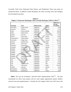Lewisville, North Texas Municipal Water District, and Weatherford. These reuse plans are summarized below. In addition to these dischargers, the Cities of Irving, Frisco and Arlington have developed reuse plans.

|                   |                           |                     |               | 2008 Annual           |
|-------------------|---------------------------|---------------------|---------------|-----------------------|
| <b>Discharger</b> | Plant                     | <b>NPDES Number</b> | <b>County</b> | Average<br>Flow (MGD) |
| The Colony        | <b>Stewart Creek</b>      | TX0053112           | Denton        | 2.40                  |
| Corsicana         | STP No. 2                 | TX0056731           | Navarro       | 2.71                  |
| <b>Dallas</b>     | Dallas Southside          | TX0047848           | <b>Dallas</b> | 60.84                 |
| Dallas            | <b>Dallas Central</b>     | TX0047830           | Dallas        | 93.93                 |
| Denison           | Paw Paw                   | TX0047228           | Grayson       | 2.02                  |
| Denton            | Pecan Creek               | TX0047180           | Denton        | 13.18                 |
| Flower Mound      | Flower Mound              | TX0020711           | Denton        | 4.33                  |
| Fort Worth        | <b>Village Creek</b>      | TX0047295           | Tarrant       | 106.35                |
| Garland           | <b>Rowlett Creek</b>      | TX0024686           | <b>Dallas</b> | 17.23                 |
| Garland           | <b>Duck Creek</b>         | TX0024678           | <b>Dallas</b> | 10.17                 |
| Grapevine         | Peach Street              | TX0032018           | Tarrant       | 3.42                  |
| Lewisville        | Prairie Creek             | TX0052892           | Denton        | 7.65                  |
| <b>NTMWD</b>      | <b>Muddy Creek</b>        | TX0123561           | Collin        | 5.26                  |
| <b>NTMWD</b>      | Rowlett Creek             | TX0047911           | Collin        | 15.33                 |
| <b>NTMWD</b>      | <b>Wilson Creek</b>       | TX0088633           | Collin        | 36.55                 |
| <b>NTMWD</b>      | Mesquite                  | TX047431            | <b>Dallas</b> | 16.14                 |
| <b>NTMWD</b>      | <b>Stewart Creek West</b> | TX0103501           | Denton        | 5.46                  |
| Sherman           | Post Oak                  | TX0024325           | Grayson       | 7.45                  |
| <b>TRA</b>        | <b>Denton Creek</b>       | TX0104957           | Denton        | 4.67                  |
| <b>TRA</b>        | <b>Red Oak</b>            | TX0104345           | Ellis         | 2.20                  |
| <b>TRA</b>        | Ten Mile Creek            | TX0022811           | Ellis         | 14.50                 |
| <b>TRA</b>        | <b>TRA Central</b>        | TX0022802           | <b>Dallas</b> | 131.95                |
| <b>UTRWD</b>      | Lakeview                  | TX0020354           | Denton        | 3.62                  |
| Waxahachie        | Waxahachie                | TX0027537           | Ellis         | 3.75                  |
| Weatherford       | Weatherford               | TX0047724           | Parker        | 2.03                  |

**Table I-9 Region C Wastewater Dischargers That Currently Discharge 2 MGD or More(11)**

**Dallas.** The City has developed a *Recycled Water Implementation Plan*<sup>(7,8)</sup>. The plan recommends two direct reuse projects and two water supply augmentation projects (indirect reuse) for near-term implementation. Currently, the City irrigates Cedar Crest Golf Course with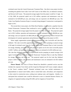reclaimed water from the Central Wastewater Treatment Plant. One direct reuse project involves extending the pipeline from Cedar Crest Golf Course to the Dallas Zoo, an industrial customer, and Stevens Golf Course. The projected average supply from this project would be 2.5 mgd. As of July 2009, the projected capital cost is \$15 million, operation and maintenance costs are estimated to be \$230,000 per year, and energy costs are expected to be \$85,000 per year. The Cedar Crest Pipeline Extension Project is currently being designed. Construction is anticipated to begin in 2011.

The second direct reuse project, the White Rock Pipeline, would involve a pipeline from the Central Wastewater Treatment Plant northward to serve customers in the White Rock Creek Basin. The projected average supply from this project would be 16.5 mgd. The projected capital cost is \$55.2 million, operation and maintenance costs are estimated to be \$1,380,000 per year, and energy costs are expected to be \$825,200 per year. DWU is planning to move forward with development of customer agreements and preliminary engineering on this project in 2013.

Water supply augmentation projects are recommended for Lake Lewisville and Lake Ray Hubbard. The Lake Lewisville augmentation project would involve pumping an annual average of 60 mgd of reclaimed water from the Central Wastewater Treatment Plant to Lake Lewisville for storage, blending, and future use. The projected capital cost for the Lake Lewisville project is \$185.7 million, and operation and maintenance costs are estimated to be \$45 million per year. The Lake Ray Hubbard augmentation project would involve pumping an annual average of 60 mgd of reclaimed water from the Southside Wastewater Treatment Plant to Lake Ray Hubbard for storage, blending, and future use. The projected capital cost for the Lake Ray Hubbard project is \$201.3 million, and operation and maintenance costs are estimated to be \$5.0 million per year. ond direct reuse project, the White Rock Pipeline, would involve a piptewater Treatment Plant northward to serve customers in the White projected average supply from this project would be 16.5 mgd. The prosimilarion, opera

**Flower Mound.** The Town of Flower Mound has identified a potential service area that includes the corporate Town limits and the Grapevine Municipal Golf Course complex adjacent to the Town's southern limits<sup>(9)</sup>. Potential reclaimed water uses include maintenance of impoundments or natural water bodies, toilet or urinal flush water, silviculture, soil compaction or dust control in construction areas, cooling tower makeup water, and irrigation. Initially, it is anticipated that reclaimed water would be delivered to users in Lakeside Business District, for irrigation of vegetated medians along FM 2499, and for irrigation of Gerault Park.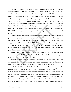**Fort Worth.** The City of Fort Worth has provided reclaimed water from its Village Creek WWTP for irrigation at the Links at Waterchase Golf Course in Fort Worth since 1999. In 2007, the City developed a *Reclaimed Water Priority and Implementation Plan*<sup>(10)</sup> to evaluate an additional five direct reuse projects, which would be used for local irrigation, natural gas exploration, cooling water makeup and electric power generation. The first of these projects, the Village Creek Reclaimed Water Delivery System, is anticipated to be online by the end of 2010. The Village Creek Reclaimed Water Delivery System will serve the Cities of Arlington and Euless, Dallas-Fort Worth International Airport, and other potential retail customers within the City of Fort Worth with up to 4,423 acre-feet per year of reclaimed water from the Village Creek WWTP. The remaining direct reuse projects are still in the planning phase and are described below: as-Fort Worth International Airport, and other potential retail customers Worth with up to 4,423 acre-feet per year of reclaimed water from the remaining direct reuse projects are still in the planning phase and stern dire

The western direct reuse project involves the construction of a satellite wastewater treatment plant and conveyance facilities to provide reclaimed water to the Mary's Creek drainage basin in western Fort Worth. The Mary's Creek Direct Reuse Project would be constructed to provide a supply for non-potable water needs for the Walsh Ranch development and other nearby areas.

The central direct reuse project involves the construction of conveyance facilities to provide reclaimed water from the Village Creek WWTP to the Central Business District, including the planned Trinity River Vision Central City Project.

The northern direct reuse project involves the construction of conveyance facilities to provide reclaimed water from the Trinity River Authority's Denton Creek Regional Wastewater System to serve developments in the Alliance Airport area.

The southern direct reuse project involves the construction of a satellite WWTP and conveyance facilities to provide reclaimed water in the southern portion of the City for irrigation, cooling water, and other non-potable uses near the intersection of I-20 and I-35W.

**Lewisville.** The City of Lewisville has identified a potential service area that includes the City and its Extraterritorial Jurisdiction (ETJ) and selected locations outside the  $ETJ<sup>(12)</sup>$ . The City plans to continue to produce reclaimed water for existing users (Denton County Fresh Water Supply District No. 1 and the City) and may provide reclaimed water to other users including but not limited to: the Lake Park Golf Complex, the Lake Park athletic fields, a tree farm near Jones Street and Kealy Avenue, the City's Fire Training Center, a Heavy Industry Zone roughly bounded by State Highway 121 to the south, the Elm Fork Trinity River to the east, Prairie Creek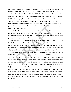and Sewage Treatment Plant Road to the north, and the Atchison, Topeka & Santa Fe Railroad to the west, Coyote Ridge Golf Club, Indian Creek Golf Course, and Riverchase Golf Club.

**North Texas Municipal Water District.** NTMWD utilizes return flows diverted from the East Fork of the Trinity River (East Fork) to augment existing supplies at Lake Lavon. The East Fork Raw Water Supply Project includes a 43 mile pipeline to transport treated water from a 1,840 acre constructed wetland near Seagoville to Lake Lavon. In 2007, NTMWD was granted a water rights permit authorizing the diversion and use of up to 157,393 acre-feet per year for the project. The project is currently planned to provide approximately 102,000 acre-feet per year of additional supply to Lake Lavon.

The NTMWD is now permitted to divert from Lake Lavon up to 71,882 acre-feet per year of return flows from the Wilson Creek WWTP. This plant currently provides nearly 48,000 acrefeet per year of supply for indirect reuse in Lake Lavon. In addition to these indirect reuse projects, the District plans to expand its direct reuse program.

**Weatherford.** The City of Weatherford has defined its potential service area as the City and its ETJ. Potential uses include cooling tower makeup water, gas industry use, soil compaction and dust control in construction areas, irrigation of animal feed crops (other than pastures for milking animals), fire protection, golf course irrigation, and maintenance of water features, and other acceptable uses where human contact with reclaimed water is unlikely to occur<sup>(13)</sup>.

**Dallas/North Texas Municipal Water District Collaboration.** Dallas Water Utilities and NTMWD have entered into an agreement which would allow NTMWD to exchange up to 157,393 acre-feet per year of return flows from District water supplies into Lake Ray Hubbard for Dallas return flows into the mainstem Trinity River. Under this agreement, Dallas will have the right to divert the NTMWD return flows from Lake Ray Hubbard and will pump an equal amount of flow from the mainstem Trinity River to the NTMWD East Fork Water Supply Project wetland for use by NTMWD. In addition, once water rights for Elm Fork return flows (from NTMWD return flows to the Lake Lewisville watershed) have been secured by NTMWD, NTMWD will support Dallas efforts to secure bed and banks transport, storage and diversion rights for the Elm Fork return flows. In exchange, Dallas will pump a quantity equal to NTMWD's future Elm Fork return flows to the East Fork Water Supply Project wetland for use by NTMWD. project is currently planned to provide approximately 102,000 acre-fee<br>pply to Lake Lavon.<br>MWD is now permitted to divert from Lake Lavon up to 71,882 acre-fe<br>from the Wilson Creek WWTP. This plant currently provides nearl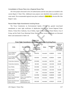## Consolidation of Reuse Plans into a Regional Reuse Plan

All of the projects discussed in the 210 authorizations and the reuse plans are included in the current *Region C Water Plan*. Additional reuse projects were identified where possible to meet water needs. The recommended regional reuse plan is outlined in Table 4B.6 in Section 4B of the Region C plan.

## Recent Water Right Amendments Involving Reuse

| The Texas Commission on Environmental Quality (TCEQ) has granted reuse-based                      |                                                                       |                      |               |                                 |                                     |  |  |  |  |  |  |
|---------------------------------------------------------------------------------------------------|-----------------------------------------------------------------------|----------------------|---------------|---------------------------------|-------------------------------------|--|--|--|--|--|--|
| amendments to water right certificates of adjudication held by the Tarrant Regional Water         |                                                                       |                      |               |                                 |                                     |  |  |  |  |  |  |
| District, Trinity River Authority, City of Dallas, Upper Trinity Regional Water District, City of |                                                                       |                      |               |                                 |                                     |  |  |  |  |  |  |
| Irving, and the North Texas Municipal Water District. These recent amendments are discussed       |                                                                       |                      |               |                                 |                                     |  |  |  |  |  |  |
| below and summarized in Table I-10.                                                               |                                                                       |                      |               |                                 |                                     |  |  |  |  |  |  |
|                                                                                                   |                                                                       |                      |               |                                 |                                     |  |  |  |  |  |  |
|                                                                                                   |                                                                       | Table I-10           |               |                                 |                                     |  |  |  |  |  |  |
|                                                                                                   | <b>Water Right Amendments and Permit Applications Involving Reuse</b> |                      |               |                                 |                                     |  |  |  |  |  |  |
|                                                                                                   |                                                                       | <b>Certification</b> |               |                                 | <b>Additional</b>                   |  |  |  |  |  |  |
| <b>Entity</b>                                                                                     | <b>Flow Description</b>                                               | οf<br>Adjudication/  | <b>Status</b> | <b>Amendment</b><br><b>Date</b> | Annual<br><b>Diversion for</b>      |  |  |  |  |  |  |
|                                                                                                   |                                                                       | <b>Permit Number</b> |               |                                 | <b>Water Supply</b><br>(ac-ft/year) |  |  |  |  |  |  |
|                                                                                                   | Multiple WWTPs to                                                     |                      |               |                                 |                                     |  |  |  |  |  |  |
| <b>Tarrant Regional</b>                                                                           | <b>Wetland/Cedar Creek</b>                                            | 08-4976C             | Amended       | 02/08/05                        | 52,500                              |  |  |  |  |  |  |
| <b>Water District</b>                                                                             | Reservoir                                                             |                      |               |                                 |                                     |  |  |  |  |  |  |
| <b>Tarrant Regional</b>                                                                           | Multiple WWTPs to                                                     |                      |               |                                 |                                     |  |  |  |  |  |  |
| <b>Water District</b>                                                                             | Wetland/Richland-<br><b>Chambers Reservoir</b>                        | 08-5035C             | Amended       | 02/08/05                        | 63,000                              |  |  |  |  |  |  |
| <b>Trinity River Authority</b>                                                                    | <b>Mountain Creek WWTP</b>                                            | 08-3404D             | Amended       | 06/27/05                        |                                     |  |  |  |  |  |  |
|                                                                                                   | to Joe Pool Lake                                                      |                      |               |                                 | 4,368                               |  |  |  |  |  |  |
| <b>Trinity River Authority</b>                                                                    | Multiple WWTPs to<br>Lake Livingston                                  | 08-4248              | Amended       | 10/12/06                        | 246,960                             |  |  |  |  |  |  |
| City of Dallas                                                                                    | Multiple WWTPs to                                                     | 08-2456E             | Amended       | 10/12/06                        | 0                                   |  |  |  |  |  |  |
|                                                                                                   | Lewisville Lake<br>Multiple WWTPs to                                  |                      |               |                                 |                                     |  |  |  |  |  |  |
| City of Dallas                                                                                    | Lake Ray Hubbard                                                      | 08-2462G             | Amended       | 10/12/06                        | 150,000                             |  |  |  |  |  |  |
| <b>Upper Trinity Regional</b><br><b>Water District</b>                                            | Multiple WWTPs to<br>Lewisville Lake                                  | 5778                 | Amended       | 03/03/06                        | 9,664                               |  |  |  |  |  |  |
| City of Irving                                                                                    | Unspecified                                                           | 03-4799C             | Amended       | 01/06/06                        | 31,600                              |  |  |  |  |  |  |
| North Texas Municipal                                                                             | Wilson Creek WWTP to                                                  |                      |               |                                 |                                     |  |  |  |  |  |  |
| <b>Water District</b>                                                                             | Lake Lavon                                                            | 08-2410E             | Amended       | 09/08/05                        | 35,941                              |  |  |  |  |  |  |
| North Texas Municipal<br><b>Water District</b>                                                    | Multiple WWTPs to<br>Wetland/Lake Lavon                               | 08-2410F             | Amended       | 07/05/07                        | 157,393                             |  |  |  |  |  |  |

**Table I-10 Water Right Amendments and Permit Applications Involving Reuse**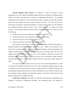**Tarrant Regional Water District.** On February 8, 2005, the District received amendments to its water rights in Richland-Chambers Reservoir (Certificate of Adjudication 08- 5035C) and Cedar Creek Reservoir (Certificate of Adjudication 08-4976C). The amended certificates allow the District to divert from the Trinity River a portion of the historic and future return flows that originate from water stored in District reservoirs. The return flows will be diverted into off-channel, wetland impoundments to improve water quality and then delivered into Richland-Chambers Reservoir and/or Cedar Creek Reservoir for storage and future diversion. The maximum annual diversion from the Trinity River shall not exceed any one of the following:

- 90,799 acre-feet per year (Certificate of Adjudication 08-4976C),
- 105,019 acre-feet per year (Certificate of Adjudication 08-5035C),
- 195,818 acre-feet per year for both certificates, or
- 70 percent of District return flows, less carriage losses.

The maximum annual delivery from the Richland-Chambers wetland impoundment to Richland-Chambers Reservoir is 100,465 acre-feet per year. Similar to the operation of the Cedar Creek wetland project, the water from the Richland-Chambers wetland impoundment will augment existing storage in Richland-Chambers Reservoir for diversion under the reservoir's original permit of 210,000 acre-feet per year, with additional authorized diversion from Richland-Chambers Reservoir up to 63,000 acre-feet per year for municipal, mining, industrial, and agricultural purposes. The Richland-Chamber Reservoir reuse project began operation in 2009. For United Transmitter and Minds Complete Western quality and the Chambers Reservoir and/or Cedar Creek Reservoir for storagh<br>The maximum annual diversion from the Trinity River shall not exceeds.<br>The maximum annual divers

The maximum annual delivery from the Cedar Creek wetland impoundment to Cedar Creek Reservoir is 88,059 acre-feet per year. This water will augment existing storage in Cedar Creek Reservoir for diversion under the reservoir's original permit of 175,000 acre-feet per year, plus additional authorized diversion from Cedar Creek Reservoir up to 52,500 acre-feet per year for municipal, mining, industrial, and agricultural purposes. The Cedar Creek Reservoir reuse project is expected to be completed by 2018.

**Trinity River Authority.** On October 12, 2006, the TCEQ granted an amendment to the Authority's Certificate of Adjudication 08-4248. The amendment allows the Authority to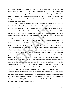impound, in its share of the storage in Lake Livingston, historical and future return flows from its Central, Red Oak Creek, and Ten Mile Creek wastewater treatment plants. According to the amendment, these treatment plants have a cumulative permitted discharge of 220.5 million gallons per day (MGD). The amendment allows the Authority to impound return flows in Lake Livingston and to divert and use the return flows as authorized in the amended certificate. Lake Livingston is located in Region H.

On June 27, 2005, the Authority received an amendment to its water right in Joe Pool Lake (Certificate of Adjudication 08-3404D). The amended certificate allows the Authority to impound in and use from Joe Pool Lake an amount not to exceed 4,368 acre-feet per year of return flows from the Authority's Mountain Creek Regional Wastewater Treatment Plant. The amendment also provides a bed and banks authorization to use an unnamed tributary of Newton Branch, tributary of Soap Creek, tributary of Mountain Creek, and Joe Pool Lake to convey the discharged water to Joe Pool Lake for storage and subsequent diversion.

**City of Dallas.** On October 12, 2006, the TCEQ granted an amendment to the City's Certificate of Adjudication 08-2456E, an amendment to its water right in Lake Lewisville, and Certificate of Adjudication 08-2462G, an amendment to its water right in Lake Ray Hubbard. The amendments allow the diversion of historical and future return flows contributed by the City of Lewisville and Town of Flower Mound Wastewater Treatment Plants from the Elm Fork Trinity River to the City's Elm Fork and Bachman Water Treatment Plants. The amendment also provides the right to discharge, store, divert, and use historical and future return flows from the City's Central and Southside Wastewater Treatment Plants. The City plans to convey by pipeline a portion of the return flows from the Central and Southside Wastewater Treatment Plants to Lake Lewisville and Lake Ray Hubbard. The five-year average discharges stated in the amendment from these plants are 157,030 acre-feet per year from the Central plant and 85,800 acre-feet per year from the Southside plant. The amendments require that the City leave at least 114,000 acre-feet per year of water discharged from the Central and Southside Wastewater Treatment Plants in the Trinity River to meet downstream flow requirements. The amendments also include a bed and banks authorization to convey the return flows from the pipeline discharge point to previously authorized diversion points. The amendments provide diversion authorization of up to an additional 150,000 acre-feet per year from Lake Ray Hubbard but do not request a new appropriation of water in Lake Lewisville. icate of Adjudication 08-3404D). The amended certificate allows the<br>and use from Joe Pool Lake an amount not to exceed 4,368 acre-fectrom the Authority's Mountain Creek Regional Wastewater Treatme<br>also provides a bed and b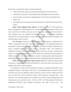Return flows covered by this request include the following:

- Dallas Trinity Basin origin water historically discharged into the Trinity River,
- Sabine River water (Lake Tawakoni) historically discharged into the Trinity River,
- Future increases in return flows originating from the Trinity River and Sabine River Basins, and
- Developed water to be transferred form the Sabine River (Lake Fork) and Neches River Basins.

**Upper Trinity Regional Water District.** On March 3, 2006, the TCEQ granted the District's amendment to Permit Number 5778. The amendment allows the District to divert from Lake Lewisville up to 9,664 acre-feet per year of return flows, originating from the District's Lake Chapman water, for municipal and industrial purposes. The proposed amendment authorizes the use of bed and banks to convey return flows from their points of discharge to the diversion point in Lake Lewisville.

**City of Irving.** On January 6, 2006, the TCEQ issued Certificate of Adjudication 03- 4799C, an amendment to the City's water right in Lake Chapman. The amendment removes the requirement to return unconsumed water to the Trinity River Basin and adds an authorization to reuse its imported Sulphur River Basin water as "developed" water. The Certificate of Adjudication authorizes the City to reuse up to 31,600 acre-feet per year (less carriage losses). However, an agreement between the City and the Trinity River Authority limits this quantity to 28,000 acre-feet/year. The reuse authorization is subject to obtaining future authorizations after identifying specific points of discharge and diversion and satisfying bed and banks requirements. mas.<br>
Ins.<br>
Inter Trinity Regional Water District. On March 3, 2006, the TCEC<br>
eendment to Permit Number 5778. The amendment allows the District<br>
ville up to 9,664 acre-feet per year of return flows, originating from<br>
man

**North Texas Municipal Water District (Lake Lavon).** The District has been granted Certificates of Adjudication 08-2410E and 08-2410F to reuse return flows from District water supplies. Each of these is discussed below.

On September 8, 2005, the TCEQ authorized Certificate of Adjudication 08-2410E, which amended the District's water right in Lake Lavon. The amendment allows the District to divert from Lake Lavon up to an additional 35,941 acre-feet per year (for a total of 71,882 acre-feet per year) of return flows from the District's Wilson Creek Wastewater Treatment Plant. This diversion is for municipal purposes and is limited to the amount actually discharged from the treatment plant, less conveyance losses. On July 5, 2007, the TCEQ authorized Certificate of Adjudication 08-2410F, which amended the District's water right in Lake Lavon. The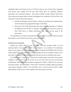amendment allows the diversion of up to 157,393 acre-feet per year of return flows originating from District water supplies from the East Fork Trinity River for municipal, industrial, agricultural, and recreational purposes. This amount includes all future District return flows from wastewater treatment plants currently discharging to the watershed of the East Fork of the Trinity River with the following exceptions:

- 64 MGD of discharges from the District's Wilson Creek Wastewater Treatment Plant, which the District has appropriated through CA 08-2410E
- 30 percent of all Trinity Basin-based return flows authorized pursuant to Certificate of Adjudication No. 08-2410, as amended, which the District will leave in the East Fork Trinity River to address downstream water rights and the needs of the environment.

The amendment also includes a bed and banks authorization to use streams within the Trinity River Basin to convey District return flows to the diversion point.

## Existing Reuse Quantities

During early August 2009, a survey of Chapter 210 reuse providers (Table I-11) and operating indirect reuse providers (Table 1-12) in Region C was conducted. Two significant, indirect reuse projects, the TRWD Richland-Chambers Wetland and NTMWD East Fork Raw Water Supply Project, have both recently began operation and are not included in Table I-12 for this reason. A summary of information obtained from these surveys is included in this section. 0 percent of all Trinity Basin-based return flows authorized pursuant to C<br>
f Adjudication No. 08-2410, as amended, which the District will leave in<br>
ork Trinity River to address downstream water rights and the need<br>
nork

The 2006 *Region C Water Plan*<sup>(1)</sup> showed the available supply from direct reuse projects included in Table 1-11 to be 35,738 ac-ft/yr by the year 2010. Over the course of the period evaluated here (2005-2008), reuse quantities ranging from 10,000 to 14,000 ac-ft/yr were used from these projects. The 2006 *Region C Water Plan*<sup>(1)</sup> showed the available supply from indirect reuse projects included in Table 1-12 to be 83,640 ac-ft/yr of water by the year 2010. In 2008, approximately 52,284 ac-ft/yr of reuse supplie s from these projects were used.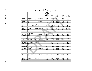|                                            |                                   |                                            | Table I-11                                                             |                    |                    |                    |                    |
|--------------------------------------------|-----------------------------------|--------------------------------------------|------------------------------------------------------------------------|--------------------|--------------------|--------------------|--------------------|
|                                            |                                   | <b>Direct Reuse Quantities by Provider</b> |                                                                        |                    |                    |                    |                    |
| Sponsor                                    | Project                           | Use                                        | 2010<br><b>Available</b><br><b>Supply</b><br>(2006 Plan)<br>(ac-ft/yr) | 2005<br>(ac-ft/yr) | 2006<br>(ac-ft/yr) | 2007<br>(ac-ft/yr) | 2008<br>(ac-ft/yr) |
| <b>NTMWD</b>                               | <b>Rowlett Creek</b>              | <b>Golf Course Irrigation</b>              | 1,540                                                                  | 383.65             | 422.59             | 140.06             | 221.95             |
| <b>NTMWD</b>                               | <b>Buffalo Creek</b>              | <b>Golf Course Irrigation</b>              | 672                                                                    | 187.69             | 244.99             | 145.77             | 159.34             |
| <b>NTMWD</b>                               | Royse City                        |                                            | 112                                                                    | 112.26             | 129.00             | 0.00               | 0.00               |
| <b>NTMWD Subtotal</b>                      |                                   | Golf Course Irrigation                     | 2,324                                                                  | 683.60             | 796.59             | 285.83             | 381.28             |
| <b>TRA</b>                                 | Las Colinas                       | Irrigation                                 | 8,000                                                                  | 1,684.41           | 2,192.30           | 227.16             | 1,756.72           |
| <b>TRA</b>                                 | Ten Mile Creek                    |                                            | N/A                                                                    | 41.93              | 46.06              | 13.42              | 35.87              |
| <b>TRA Subtotal</b>                        |                                   | Irrigation                                 | 8,000                                                                  | 1,726.34           | 2,238.36           | 240.58             | 1,792.58           |
| Garland                                    | Forney                            | <b>Steam Electric Power</b>                | 8,979                                                                  | 6,522.64           | 8,015.82           | 7,997.97           | 7,910.11           |
| <b>Garland Subtotal</b>                    |                                   |                                            | 8,979                                                                  | 6,522.64           | 8,015.82           | 7,997.97           | 7,910.11           |
| Frisco                                     | <b>Stewart Creek</b>              | <b>Golf Course Irrigation</b>              | 307                                                                    | 320.04             | 356.92             | 257.96             | 107.76             |
| <b>Frisco Subtotal</b>                     |                                   |                                            | 307                                                                    | 320.04             | 356.92             | 257.96             | 107.76             |
| Fort Worth                                 | Waterchase<br>Golf                | <b>Golf Course Irrigation</b>              | 897                                                                    | 438.12             | 594.36             | 304.78             | 449.44             |
| <b>Fort Worth Subtotal</b>                 |                                   |                                            | 897                                                                    | 438.12             | 594.36             | 304.78             | 449.44             |
| <b>Dallas</b>                              | Cedar Crest                       | <b>Golf Course Irrigation</b>              | 561                                                                    | 250.61             | 232.28             | 166.04             |                    |
| <b>Dallas Subtotal</b>                     |                                   |                                            | 561                                                                    | 250.61             | 232.28             | 166.04             | 0.00               |
| Ennis<br><b>Ennis Subtotal</b>             | Tractabel                         | <b>Steam Electric Power</b>                | 3,363<br>3,363                                                         | 707.59<br>707.59   | 706.13<br>706.13   | 861.27<br>861.27   | 0.00               |
|                                            |                                   |                                            |                                                                        |                    |                    |                    |                    |
| Gainesville<br><b>Gainesville Subtotal</b> | Keneteso Park                     | Irrigation                                 | 9<br>9                                                                 | 0.73<br>0.73       | 0.94<br>0.94       | 3.87<br>3.87       | 4.05<br>4.05       |
| Azle                                       | <b>Cross Timbers</b>              | <b>Golf Course Irrigation</b>              | 811                                                                    | 242.96             | 285.20             | 32.49              | 56.10              |
| <b>Azle Subtotal</b>                       |                                   |                                            | 811                                                                    | 242.96             | 285.20             | 32.49              | 56.10              |
| The Colony                                 | Stonebriar<br><b>Country Club</b> | <b>Golf Course Irrigation</b>              | 380                                                                    | 114.96             | 326.28             | 180.23             |                    |
| <b>The Colony Subtotal</b>                 | Castlehills Golf                  |                                            | 380                                                                    | 114.96             | 326.28             | 180.23             | 0.00               |
| Lewisville<br><b>Lewisville Subtotal</b>   | Course                            | Golf Course Irrigation                     | 897<br>897                                                             | 383.05<br>383.05   | 379.03<br>379.03   | 210.46<br>210.46   | 0.00               |
| Denton                                     | City of Garland                   | <b>Steam Electric Power</b>                | 3,363                                                                  | 388.15             | 644.24             | 172.78             | 108.39             |
| Denton                                     | Oakmont<br>Country Club           | <b>Golf Course Irrigation</b>              | 800                                                                    | 309.54             | 232.61             | 118.56             | 215.45             |
|                                            |                                   |                                            |                                                                        |                    |                    |                    |                    |
| Denton<br><b>Denton Subtotal</b>           | Various                           | Irrigation                                 | 6,165<br>10,328                                                        | 64.49<br>762.18    | 106.98<br>983.83   | 82.08<br>373.41    | 69.40<br>393.24    |
|                                            | <b>TOTAL</b>                      |                                            | 35,738                                                                 | 11,590             | 14,274             | 10,624             | 10,931             |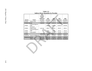|                              |                                                         |                                                                        | Table I-12         |                      |                    |                    |
|------------------------------|---------------------------------------------------------|------------------------------------------------------------------------|--------------------|----------------------|--------------------|--------------------|
|                              |                                                         | <b>Indirect Reuse Quantities by Provider</b>                           |                    |                      |                    |                    |
| Sponsor                      | Project                                                 | 2010<br><b>Available</b><br><b>Supply</b><br>(2006 Plan)<br>(ac-ft/yr) | 2005<br>(ac-ft/yr) | 2006<br>$(ac-ft/yr)$ | 2007<br>(ac-ft/yr) | 2008<br>(ac-ft/yr) |
| <b>NTMWD</b>                 | <b>Wilson Creek</b>                                     | 71,882.00                                                              | 4,208.37           | 43,933.45            | 50,104.20          | 42,831.31          |
| <b>NTMWD Subtotal</b>        |                                                         | 71,882.00                                                              | 4,208.37           | 43,933.45            | 50,104.20          | 42,831.31          |
| <b>UTRWD</b>                 | Lakeview Regional<br><b>WRP</b><br>Riverbend            |                                                                        | 2,686.38           | 2,691.13             | 4,264.19           | 4,070.85           |
| <b>UTRWD</b><br><b>UTRWD</b> | <b>Regional WRP</b><br>Peninsula Regional<br><b>WRP</b> | 8,441.00                                                               | 404.27<br>75.64    | 582.53<br>116.37     | 924.47<br>147.22   | 934.41<br>191.44   |
| <b>UTRWD</b>                 | Celina WWTP                                             |                                                                        | 329.50             | 305.40               | 513.08             | 417.68             |
| <b>UTRWD</b>                 |                                                         | 8,441.00                                                               | 3,495.78           | 3,695.44             | 5,848.96           | 5,614.37           |
| Grapevine                    | Peach St. WWTP                                          | 3,317.00                                                               | 3,501.68           | 3,376.64             | 3,924.26           | 3,838.40           |
| <b>Grapevine Subtotal</b>    |                                                         | 3,317.00                                                               | 3,501.68           | 3,376.64             | 3,924.26           | 3,838.40           |
|                              |                                                         | 83,640.00                                                              | 11,205.83          |                      |                    | 52,284.08          |
|                              | <b>TOTAL</b>                                            |                                                                        |                    | 51,005.53            | 59,877.42          |                    |

| Table I-12                                   |  |
|----------------------------------------------|--|
| <b>Indirect Reuse Quantities by Provider</b> |  |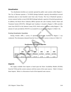## *Desalination*

Two desalination facilities are currently operated by public water systems within Region C. The City of Sherman operates a 7.50 MGD (design hydraulic capacity) electrodialysis reversal membrane plant to treat brackish water from Lake Texoma. The City of Bardwell operates a reverse osmosis facility to treat 0.036 MGD (design hydraulic capacity) of brackish groundwater. In addition, the Brazos River Authority (BRA) operates the Lake Granbury Surface Water and Treatment System (SWATS). Although Lake Granbury is located in Region G, BRA provides water from SWATS to the Johnson County SUD, which serves customers within Region C. The amount of water provided by SWATS is accounted for as an import to Region C (Table I-14).

## Existing Desalination Quantities

During October 2009, a survey of operating desalination facilities in Region C was conducted. The information obtained from the City of Sherman's survey is shown in Table I-13.

**Table I-13 Desalination Quantities by Provider** 

## *Imports*

The supply available from imports is based upon the Water Availability Models (WAMs) from the TCEQ and the current contracts with the owners of the water sources. Table I-14 shows those imports. Below is a discussion of each of the imported water sources.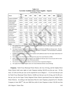| <b>Source</b>               |                                                                                                                                                                                                                       | <b>Basin</b><br>of<br>Origin | 2000    | 2010    | 2020    | 2030    | 2040    | 2050    | 2060    | 2060 from<br><b>2006 Plan</b> |
|-----------------------------|-----------------------------------------------------------------------------------------------------------------------------------------------------------------------------------------------------------------------|------------------------------|---------|---------|---------|---------|---------|---------|---------|-------------------------------|
|                             | Chapman (NTMWD) <sup>a</sup>                                                                                                                                                                                          | Sulphur                      | 47,132  | 47,132  | 47,132  | 47,132  | 47,132  | 47,132  | 47,132  | 45,843                        |
|                             | Chapman (Irving)                                                                                                                                                                                                      | Sulphur                      | 44,484  | 44,484  | 44,484  | 44,484  | 44,484  | 44,484  | 44,484  | 43,268                        |
| Trinity MWD)                | Chapman (Upper                                                                                                                                                                                                        | Sulphur                      | 13,268  | 13,268  | 13,268  | 13,268  | 13,268  | 13,268  | 13,268  | 12,905                        |
|                             | Tawakoni (Terrell)                                                                                                                                                                                                    | Sabine                       | 9,790   | 0       | 0       | 0       | 0       | 0       | 0       | 9,356                         |
|                             | Tawakoni (Dallas)                                                                                                                                                                                                     | Sabine                       | 184,991 | 183,619 | 182,251 | 180,882 | 179,515 | 178,146 | 176,777 | 176,777                       |
| Fork (Dallas) <sup>b</sup>  |                                                                                                                                                                                                                       | Sabine                       | 120,000 | 120,000 | 119,943 | 119,095 | 118,248 | 117,400 | 116,551 | 116,551                       |
| $(NTMWD)^c$                 | <b>Upper Sabine Basin</b>                                                                                                                                                                                             | Sabine                       | 0       | 49,718  | 29,646  | 9,573   | 9,501   | 9,428   | 9,356   | 0                             |
|                             | Palestine (Dallas) <sup>d</sup>                                                                                                                                                                                       | Neches                       | 112,700 | 112,881 | 111,776 | 110,670 | 109,563 | 108,455 | 107,347 | 108,980                       |
| Livingston <sup>e</sup>     |                                                                                                                                                                                                                       | Trinity                      | 20,000  | 20,000  | 20,000  | 20,000  | 20,000  | 20,000  | 20,000  | 20,000                        |
| Lake Athens <sup>f</sup>    |                                                                                                                                                                                                                       | Neches                       | 3,960   | 3,908   | 3,856   | 3,804   | 3,751   | 3,699   | 3,647   | 3,647                         |
| Possum Kingdom <sup>g</sup> |                                                                                                                                                                                                                       | <b>Brazos</b>                | 2,000   | 2,000   | 2,000   | 2,000   | 2,000   | 2,000   | 2,000   | 2,000                         |
| Lake Aquilla                |                                                                                                                                                                                                                       | <b>Brazos</b>                | 245     | 264     | 276     | 285     | 295     | 309     | 329     | 329                           |
| Lake Granbury               |                                                                                                                                                                                                                       | <b>Brazos</b>                | 185     | 231     | 231     | 231     | 231     | 231     | 231     | 231                           |
|                             | Lake Palo Pinto                                                                                                                                                                                                       | Brazos                       | 850     | 1,270   | 1,257   | 1,248   | 1,234   | 1,230   | 1,230   | 1,230                         |
| <b>TOTAL</b>                |                                                                                                                                                                                                                       |                              | 559,605 | 598,775 | 576,120 | 552,672 | 549,222 | 545,782 | 542,352 | 541,117                       |
| a.                          | The supplies from Lake Chapman for NTMWD include NTMWD's share of Lake Chapman and sales from<br>the City of Cooper.                                                                                                  |                              |         |         |         |         |         |         |         |                               |
| b.                          | The import of water from Lake Fork to the Trinity Basin is limited to 120,000 acre-feet per year. The first<br>phase of the infrastructure to transport this water to DWU is completed. The second phase is scheduled |                              |         |         |         |         |         |         |         |                               |
| c.                          | to be completed in the next five years.<br>NTMWD acquired Terrell's supply in Lake Tawakoni with additional water from the Upper Sabine Basin fo<br>2010 and 2020.                                                    |                              |         |         |         |         |         |         |         |                               |
| d.                          | There is no current infrastructure to transport the water from Lake Palestine to DWU.                                                                                                                                 |                              |         |         |         |         |         |         |         |                               |
| e.                          | Water supply contract from Lake Livingston is for 20,000 acre-feet per year in any one year with no more<br>than 48,000 acre-feet per year over a three year period.                                                  |                              |         |         |         |         |         |         |         |                               |
| f.                          | The amount of water from Lake Athens is the amount that is imported to Region C.                                                                                                                                      |                              |         |         |         |         |         |         |         |                               |
| g.                          | The supply from Possum Kingdom Lake is for Vulcan Materials (Parker County Mining).                                                                                                                                   |                              |         |         |         |         |         |         |         |                               |

## **Table I-14 Currently Available Surface Water Supplies – Imports (Acre-Feet per Year)**

- d. There is no current infrastructure to transport the water from Lake Palestine to DWU.
- e. Water supply contract from Lake Livingston is for 20,000 acre-feet per year in any one year with no more than 48,000 acre‐feet per year over a three year period.
- f. The amount of water from Lake Athens is the amount that is imported to Region C.
- g. The supply from Possum Kingdom Lake is for Vulcan Materials (Parker County Mining).

**Chapman.** North Texas Municipal Water District, the City of Irving, and the Sulphur River Water District hold water rights in Lake Chapman totaling 146,520 acre-feet per year. Of this total, 127,320 acre-feet per year can be exported for use in Region C – 57,214 acre-feet per year for North Texas Municipal Water District, 54,000 acre-feet per year for Irving, and 16,106 acrefeet per year for the Upper Trinity Regional Water District (purchased from the Sulphur River Water District). According to the Operations Plan for Lake Chapman, prepared by R.J. Brandes Company in June  $2003^{(14)}$ , the year 2000 firm yield of Lake Chapman is about 130,100 acre-feet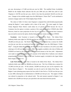per year, decreasing to 117,400 acre-feet per year by 2060. The modified Water Availability Model for the Sulphur Basin indicates that the year 2000 and year 2060 firm yield of Lake Chapman is 120,700 acre-feet per year, which is less than the permitted 146,520 acre-feet per year. Changes in the available supply since the 2006 *Region C Water Plan*<sup>(1)</sup> can be attributed to extensive changes made to the TCEQ Sulphur Basin WAM.

The values in Table I-14 show Lake Chapman's computed firm yield divided proportionally among the Region C water suppliers with a share of the water. The water supply for Upper Trinity Regional Water District could reduce by 25 percent in 2050 because the City of Commerce has the option to reclaim a portion of the water it has sold to UTRWD after 2040. However, based on water projections for the City of Commerce, it is expected that Commerce may not need to exercise the option, thereby letting the water remain available to UTRWD.

**Tawakoni.** Lake Tawakoni is located in the Sabine River Basin. The Sabine River Authority holds water rights for 238,100 acre-feet per year. The City of Dallas has a contract for 190,480 acre-feet per year. The North Texas Municipal Water District has a contract for 10,081 acre-feet per year that was transferred from the City of Terrell since the 2006 *Region C Water Plan*<sup>(1)</sup>. Using the Sabine River WAM, the firm yield of Lake Tawakoni is 231,520 in year 2000, reducing to 221,240 acre-feet per year by 2060. The supplies available to the cities of Dallas and NTMWD are based on the proportion of the contracted amount to the firm yield. Adjustments were made to ensure that supplies to each customer of the Sabine River Authority were reduced proportionally. NTMWD's share of the Lake Tawakoni supply is included in the Upper Sabine Basin Supply in Table I-14. ional Water District could reduce by 25 percent in 2050 because<br>as the option to reclaim a portion of the water it has sold to UTRW<br>seed on water projections for the City of Commerce, it is expected th<br>d to exercise the op

**Lake Fork (Dallas).** Lake Fork is located in the Sabine River Basin. The Sabine River Authority holds water rights for 188,660 acre-feet per year. The City of Dallas has a contract for 131,860 acre-feet per year. Of this amount, 120,000 acre-feet per year can be exported to the Trinity Basin in Region C. The remainder can only be used in the Sabine River Basin. The Region I water planning group reports the firm yield of Lake Fork as 174,250 acre-feet per year in year 2000, reducing due to sedimentation to 166,960 acre-feet per year. The supply to Dallas was reduced in proportion to the reduced yield. The total amount exported to Region C was limited to the 120,000 acre-feet per year specified in the trans-basin diversion permit.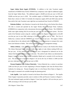**Upper Sabine Basin Supply (NTMWD).** In addition to the Lake Tawakoni supply transferred to NTMWD from Terrell, NTMWD has a temporary water right for additional supply from the Upper Sabine Basin. The additional supply is 40,000 acre-feet per year in 2010 and 20,000 acre-feet per year in 2020. The available supply to NTMWD from the Upper Sabine Basin that is shown in Table I-14 includes the temporary supply (2010 and 2020 only) and the firm yield of the Lake Tawakoni water right that was transferred from Terrell to NTMWD.

Palestine (Dallas). Lake Palestine is located on the Neches River in the Neches River Basin. The lake is owned and operated by the Upper Neches River Municipal Water Authority (UNRMWA) in conjunction with a downstream diversion point (Rocky Point). The UNRMWA holds water rights totaling 238,110 acre-feet per year from the Lake Palestine system. The firm yield of the Palestine system using the numbers provided by Region I is estimated at 222,200 acre-feet per year in year 2000, reducing to 214,600 acre-feet per year by 2060. The City of Dallas has a contract with the UNRMWA for 114,337 acre-feet per year. The supply to Dallas was reduced due to the reduced yield. Presently there is no infrastructure to transport this water from Lake Palestine to Dallas. This will be considered as a water management strategy. owned and operated by the Upper Neches River Municipal Wa<br>
in conjunction with a downstream diversion point (Rocky Point). Th<br>
rights totaling 238,110 acre-feet per year from the Lake Palestine syste<br>
Palestine system usin

**Athens (Athens).** Lake Athens is located in Henderson County in the Neches River Basin. The Athens Municipal Water Authority holds water rights in Lake Athens totaling 8,500 acrefeet per year. Of this amount 3,023 acre-feet per year is designated for industrial use for the Athens Fish Hatchery, which is located at the lake. The yield of Lake Athens was determined by Region I using the Neches Basin Water Availability Model and is currently 6,145 acre-feet per year. The amount that is exported to Region C for use by the City of Athens is 3,960 acre-feet per year, reducing to 3,647 acre-feet per year in 2060.

**Possum Kingdom Lake (Vulcan Materials).** Vulcan Materials has a contract to purchase 2,000 acre-feet per year of water originating in Possum Kingdom Lake from the Brazos River Authority for mining use. Possum Kingdom Lake is in the Brazos River Basin in Region G. This supply is assumed to be available through the planning period.

**Lake Aquilla.** Lake Aquilla is located in the Brazos River Basin in Region G. The Aquilla Water Supply Corporation provides water to entities in Ellis and Navarro Counties in Region C. The total estimated supply provided to Region C from Lake Aquilla is 245 acre-feet per year in 2000, increasing to 329 acre-feet per year by 2060.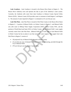**Lake Granbury.** Lake Granbury is located in the Brazos River Basin in Region G. The Brazos River Authority owns and operates the lake as part of the Authority's water system. Currently, the Authority sells water from Lake Granbury to Johnson County Special Utility District (SUD). Johnson County SUD provides water to customers in both Region C and Region G. The amount of water imported to Region C is estimated at 231 acre-feet per year.

**Lake Palo Pinto.** Lake Palo Pinto is located in Palo Pinto County in the Brazos River Basin in Region G. A portion of Mineral Wells is in Parker County in Region C, and Mineral Wells also sells water to Millsap Water Supply Corporation (WSC), Parker County WSC, and the portions of North Rural and Santo WSCs in Parker County. All of Mineral Wells' water supply currently comes from Lake Palo Pinto. (Mineral Wells has a water right in Lake Mineral Wells in Parker County but has no plans to use that source for water supply.) The supply from Lake Palo Pinto to Region C consists of: The Willsap Water Supply Corporation (WSC), Parker County V<br>
North Rural and Santo WSCs in Parker County. All of Mineral Wells'<br>
mes from Lake Palo Pinto. (Mineral Wells has a water right in Lake M<br>
bunty but has no plans

- All projected City of Mineral Wells demand in Parker County
- 25 acre-feet per year of demand for Parker County Manufacturing, provided through the City of Mineral Wells
- 479 acre-feet per year for Parker County Other.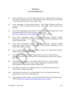## **APPENDIX I**

## **LIST OF REFERENCES**

- (1) Freese and Nichols, Inc., Alan Plummer Associates, Inc., Chiang, Patel & Yerby, Inc., and Cooksey Communications, Inc.: *2006 Region C Water Plan*, prepared for the Region C Water Planning Group, Fort Worth, January 2006.
- (2) Texas Commission on Environmental Quality: Water Rights Database, provided on January 22, 2009 by Marian Chervenka with TCEQ to be used in regional water planning.
- (3) Texas Water Development Board, *Exhibit C General Guidelines for Regional Water Plan Development (2007-2011)*, Austin, [Online] Available URL: http://www.twdb.state.tx.us/wrpi/rwp/docu.htm, September 8, 2008. The State Telescope Marian Chervenka with TCEQ to be used in real times.<br>
S. Water Development Board, *Exhibit C General Guidelines for Regional opment* (2007-2011), Austin, [Online] Available URL:<br>
<u>Awww.twdb.state.tx.us/</u>
- (4) Texas Water Development Board: "GAM Run 08-14mag," Managed available groundwater estimates for the Woodbine Aquifer in Groundwater Management Area 8, Austin, December 2008.
- (5) Texas Water Development Board: "GAM Run 08-84mag," Managed available groundwater estimates for the Trinity Aquifer in Groundwater Management Area 8, Austin, March 2009.
- (6) Texas Commission on Environmental Quality: Chapter 210 Authorization Database, emailed July 17, 2009 by Sherry Smith.
- (7) Alan Plummer Associates, Inc., and Chiang, Patel & Yerby, Inc.: *Recycled Water Implementation Plan, Volume I, Final Review Draft*, prepared for Dallas Water Utilities, May 2005.
- (8) Alan Plummer Associates, Inc., and Chiang, Patel & Yerby, Inc.: *Recycled Water Implementation Plan, Volume II, Water Supply Augmentation with Recycled Water, Draft*, prepared for Dallas Water Utilities, August 2005.
- (9) Alan Plummer Associates, Inc.: *Reclaimed Water Use Notification*, prepared for the Town of Flower Mound, April 2002.
- (10) Alan Plummer Associates, Inc.: *Reclaimed Water Priority and Implementation Plan*, prepared for the City of Fort Worth, May 2007.
- (11) Environmental Protection Agency: Water Discharge Permits Query, downloaded August 2009 from http://www.epa.gov/enviro/html/pcs/pcs\_query\_java.html.